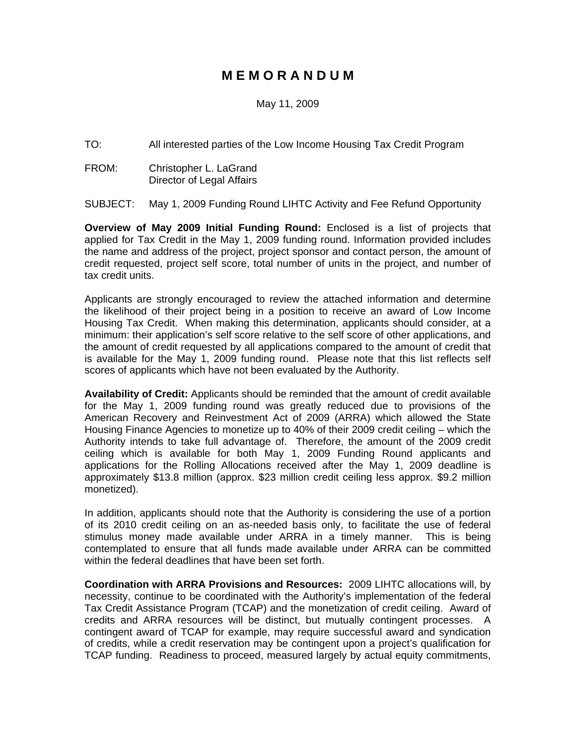## **M E M O R A N D U M**

#### May 11, 2009

TO: All interested parties of the Low Income Housing Tax Credit Program

FROM: Christopher L. LaGrand Director of Legal Affairs

SUBJECT: May 1, 2009 Funding Round LIHTC Activity and Fee Refund Opportunity

**Overview of May 2009 Initial Funding Round:** Enclosed is a list of projects that applied for Tax Credit in the May 1, 2009 funding round. Information provided includes the name and address of the project, project sponsor and contact person, the amount of credit requested, project self score, total number of units in the project, and number of tax credit units.

Applicants are strongly encouraged to review the attached information and determine the likelihood of their project being in a position to receive an award of Low Income Housing Tax Credit. When making this determination, applicants should consider, at a minimum: their application's self score relative to the self score of other applications, and the amount of credit requested by all applications compared to the amount of credit that is available for the May 1, 2009 funding round. Please note that this list reflects self scores of applicants which have not been evaluated by the Authority.

**Availability of Credit:** Applicants should be reminded that the amount of credit available for the May 1, 2009 funding round was greatly reduced due to provisions of the American Recovery and Reinvestment Act of 2009 (ARRA) which allowed the State Housing Finance Agencies to monetize up to 40% of their 2009 credit ceiling – which the Authority intends to take full advantage of. Therefore, the amount of the 2009 credit ceiling which is available for both May 1, 2009 Funding Round applicants and applications for the Rolling Allocations received after the May 1, 2009 deadline is approximately \$13.8 million (approx. \$23 million credit ceiling less approx. \$9.2 million monetized).

In addition, applicants should note that the Authority is considering the use of a portion of its 2010 credit ceiling on an as-needed basis only, to facilitate the use of federal stimulus money made available under ARRA in a timely manner. This is being contemplated to ensure that all funds made available under ARRA can be committed within the federal deadlines that have been set forth.

**Coordination with ARRA Provisions and Resources:** 2009 LIHTC allocations will, by necessity, continue to be coordinated with the Authority's implementation of the federal Tax Credit Assistance Program (TCAP) and the monetization of credit ceiling. Award of credits and ARRA resources will be distinct, but mutually contingent processes. A contingent award of TCAP for example, may require successful award and syndication of credits, while a credit reservation may be contingent upon a project's qualification for TCAP funding. Readiness to proceed, measured largely by actual equity commitments,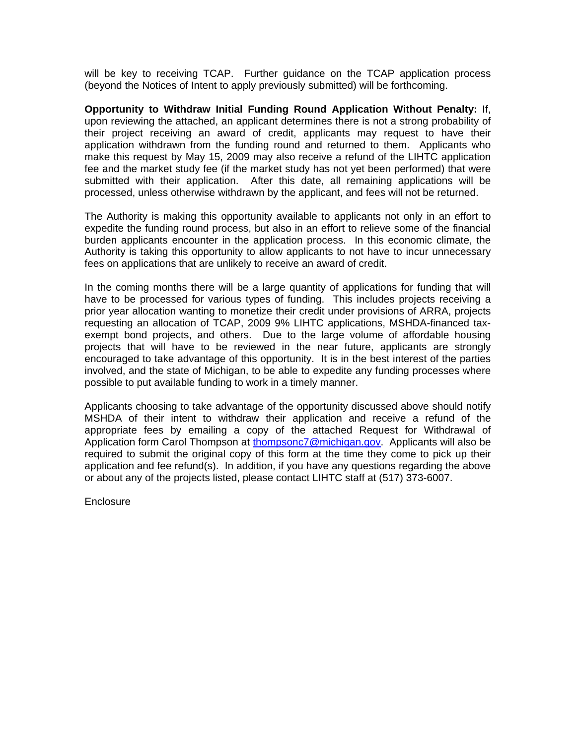will be key to receiving TCAP. Further guidance on the TCAP application process (beyond the Notices of Intent to apply previously submitted) will be forthcoming.

**Opportunity to Withdraw Initial Funding Round Application Without Penalty:** If, upon reviewing the attached, an applicant determines there is not a strong probability of their project receiving an award of credit, applicants may request to have their application withdrawn from the funding round and returned to them. Applicants who make this request by May 15, 2009 may also receive a refund of the LIHTC application fee and the market study fee (if the market study has not yet been performed) that were submitted with their application. After this date, all remaining applications will be processed, unless otherwise withdrawn by the applicant, and fees will not be returned.

The Authority is making this opportunity available to applicants not only in an effort to expedite the funding round process, but also in an effort to relieve some of the financial burden applicants encounter in the application process. In this economic climate, the Authority is taking this opportunity to allow applicants to not have to incur unnecessary fees on applications that are unlikely to receive an award of credit.

In the coming months there will be a large quantity of applications for funding that will have to be processed for various types of funding. This includes projects receiving a prior year allocation wanting to monetize their credit under provisions of ARRA, projects requesting an allocation of TCAP, 2009 9% LIHTC applications, MSHDA-financed taxexempt bond projects, and others. Due to the large volume of affordable housing projects that will have to be reviewed in the near future, applicants are strongly encouraged to take advantage of this opportunity. It is in the best interest of the parties involved, and the state of Michigan, to be able to expedite any funding processes where possible to put available funding to work in a timely manner.

Applicants choosing to take advantage of the opportunity discussed above should notify MSHDA of their intent to withdraw their application and receive a refund of the appropriate fees by emailing a copy of the attached Request for Withdrawal of Application form Carol Thompson at [thompsonc7@michigan.gov.](mailto:thompsonc7@michigan.gov) Applicants will also be required to submit the original copy of this form at the time they come to pick up their application and fee refund(s). In addition, if you have any questions regarding the above or about any of the projects listed, please contact LIHTC staff at (517) 373-6007.

**Enclosure**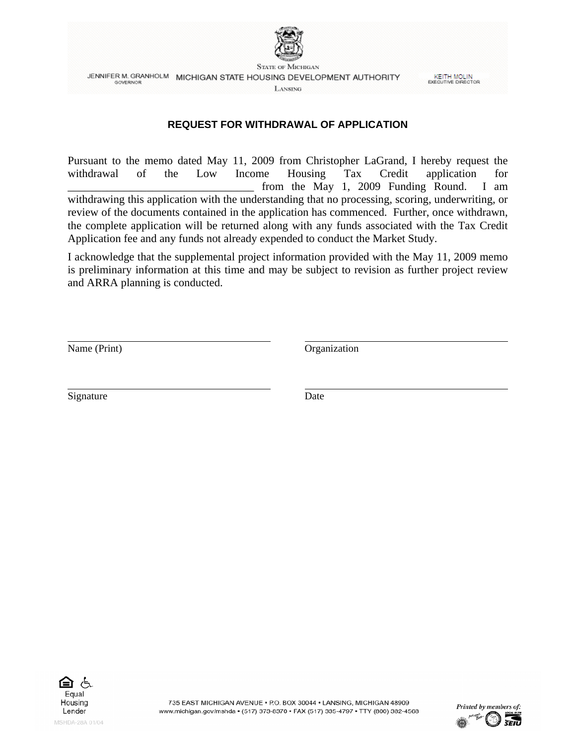

**STATE OF MICHIGAN** JENNIFER M. GRANHOLM MICHIGAN STATE HOUSING DEVELOPMENT AUTHORITY **GOVERNOR** LANSING

**KEITH MOLIN**<br>EXECUTIVE DIRECTOR

#### **REQUEST FOR WITHDRAWAL OF APPLICATION**

Pursuant to the memo dated May 11, 2009 from Christopher LaGrand, I hereby request the withdrawal of the Low Income Housing Tax Credit application for from the May 1, 2009 Funding Round. I am withdrawing this application with the understanding that no processing, scoring, underwriting, or review of the documents contained in the application has commenced. Further, once withdrawn, the complete application will be returned along with any funds associated with the Tax Credit Application fee and any funds not already expended to conduct the Market Study.

I acknowledge that the supplemental project information provided with the May 11, 2009 memo is preliminary information at this time and may be subject to revision as further project review and ARRA planning is conducted.

Name (Print) Organization

l

l

Signature Date



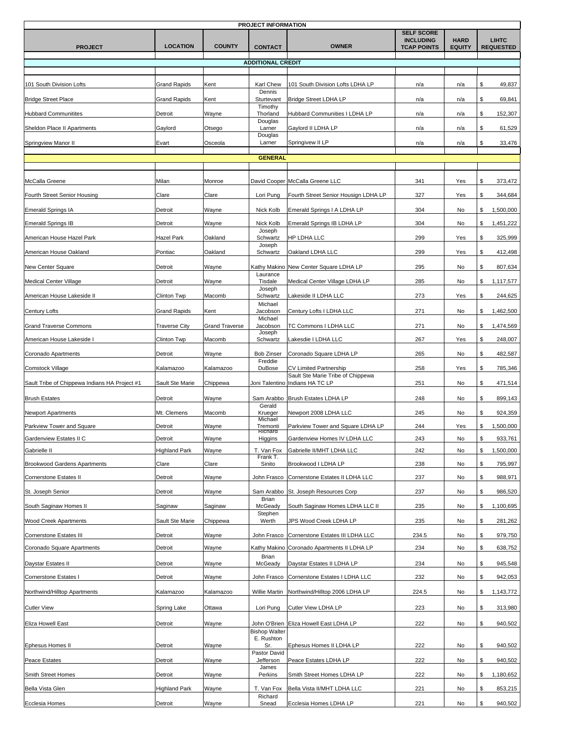| PROJECT INFORMATION                           |                      |                       |                                       |                                                                    |                                                             |                              |                                  |  |
|-----------------------------------------------|----------------------|-----------------------|---------------------------------------|--------------------------------------------------------------------|-------------------------------------------------------------|------------------------------|----------------------------------|--|
| <b>PROJECT</b>                                | <b>LOCATION</b>      | <b>COUNTY</b>         | <b>CONTACT</b>                        | <b>OWNER</b>                                                       | <b>SELF SCORE</b><br><b>INCLUDING</b><br><b>TCAP POINTS</b> | <b>HARD</b><br><b>EQUITY</b> | <b>LIHTC</b><br><b>REQUESTED</b> |  |
|                                               |                      |                       | <b>ADDITIONAL CREDIT</b>              |                                                                    |                                                             |                              |                                  |  |
|                                               |                      |                       |                                       |                                                                    |                                                             |                              |                                  |  |
| 101 South Division Lofts                      | <b>Grand Rapids</b>  | Kent                  | Karl Chew<br>Dennis                   | 101 South Division Lofts LDHA LP                                   | n/a                                                         | n/a                          | \$<br>49,837                     |  |
| <b>Bridge Street Place</b>                    | <b>Grand Rapids</b>  | Kent                  | Sturtevant                            | <b>Bridge Street LDHA LP</b>                                       | n/a                                                         | n/a                          | \$<br>69,841                     |  |
| <b>Hubbard Communitites</b>                   | Detroit              | Wayne                 | Timothy<br>Thorland                   | Hubbard Communities I LDHA LP                                      | n/a                                                         | n/a                          | \$<br>152,307                    |  |
| Sheldon Place II Apartments                   | Gaylord              | Otsego                | Douglas<br>Larner                     | Gaylord II LDHA LP                                                 | n/a                                                         | n/a                          | \$<br>61,529                     |  |
| Springview Manor II                           | Evart                | Osceola               | Douglas<br>Larner                     | Springivew II LP                                                   | n/a                                                         | n/a                          | \$<br>33,476                     |  |
|                                               |                      |                       | <b>GENERAL</b>                        |                                                                    |                                                             |                              |                                  |  |
|                                               |                      |                       |                                       |                                                                    |                                                             |                              |                                  |  |
| McCalla Greene                                | Milan                | Monroe                |                                       | David Cooper McCalla Greene LLC                                    | 341                                                         | Yes                          | \$<br>373,472                    |  |
| Fourth Street Senior Housing                  | Clare                | Clare                 | Lori Pung                             | Fourth Street Senior Housign LDHA LP                               | 327                                                         | Yes                          | \$<br>344,684                    |  |
| <b>Emerald Springs IA</b>                     | Detroit              | Wayne                 | Nick Kolb                             | Emerald Springs I A LDHA LP                                        | 304                                                         | No                           | \$<br>1,500,000                  |  |
| <b>Emerald Springs IB</b>                     | Detroit              | Wayne                 | Nick Kolb                             | Emerald Springs IB LDHA LP                                         | 304                                                         | No                           | \$<br>1,451,222                  |  |
| American House Hazel Park                     | Hazel Park           | Oakland               | Joseph<br>Schwartz                    | HP LDHA LLC                                                        | 299                                                         | Yes                          | \$<br>325,999                    |  |
| American House Oakland                        | Pontiac              | Oakland               | Joseph<br>Schwartz                    | Oakland LDHA LLC                                                   | 299                                                         | Yes                          | \$<br>412,498                    |  |
| New Center Square                             | Detroit              | Wayne                 | Kathy Makino                          | New Center Square LDHA LP                                          | 295                                                         | No                           | \$<br>807,634                    |  |
| <b>Medical Center Village</b>                 | Detroit              | Wayne                 | Laurance<br>Tisdale                   | Medical Center Village LDHA LP                                     | 285                                                         | No                           | \$<br>1,117,577                  |  |
| American House Lakeside II                    | Clinton Twp          | Macomb                | Joseph<br>Schwartz                    | Lakeside II LDHA LLC                                               | 273                                                         | Yes                          | \$<br>244,625                    |  |
|                                               |                      |                       | Michael                               |                                                                    |                                                             |                              |                                  |  |
| <b>Century Lofts</b>                          | <b>Grand Rapids</b>  | Kent                  | Jacobson<br>Michael                   | Century Lofts I LDHA LLC                                           | 271                                                         | No                           | 1,462,500<br>\$                  |  |
| <b>Grand Traverse Commons</b>                 | <b>Traverse City</b> | <b>Grand Traverse</b> | Jacobson<br>Joseph                    | TC Commons I LDHA LLC                                              | 271                                                         | No                           | \$<br>1,474,569                  |  |
| American House Lakeside I                     | Clinton Twp          | Macomb                | Schwartz                              | Lakesdie I LDHA LLC                                                | 267                                                         | Yes                          | S.<br>248,007                    |  |
| Coronado Apartments                           | Detroit              | Wayne                 | <b>Bob Zinser</b><br>Freddie          | Coronado Square LDHA LP                                            | 265                                                         | No                           | \$<br>482,587                    |  |
| Comstock Village                              | Kalamazoo            | Kalamazoo             | DuBose                                | <b>CV Limited Partnership</b><br>Sault Ste Marie Tribe of Chippewa | 258                                                         | Yes                          | \$<br>785,346                    |  |
| Sault Tribe of Chippewa Indians HA Project #1 | Sault Ste Marie      | Chippewa              |                                       | Joni Talentino Indians HA TC LP                                    | 251                                                         | No                           | \$<br>471,514                    |  |
| <b>Brush Estates</b>                          | Detroit              | Wayne                 | Sam Arabbo                            | Brush Estates LDHA LP                                              | 248                                                         | No                           | \$<br>899,143                    |  |
| <b>Newport Apartments</b>                     | Mt. Clemens          | Macomb                | Gerald<br>Krueger                     | Newport 2008 LDHA LLC                                              | 245                                                         | No                           | S.<br>924,359                    |  |
| Parkview Tower and Square                     | Detroit              | Wayne                 | Michael<br>Tremonti<br><b>Richard</b> | Parkview Tower and Square LDHA LP                                  | 244                                                         | Yes                          | 1,500,000<br>\$                  |  |
| Gardenview Estates II C                       | Detroit              | Wayne                 | Higgins                               | Gardenview Homes IV LDHA LLC                                       | 243                                                         | No                           | \$<br>933,761                    |  |
| Gabrielle II                                  | <b>Highland Park</b> | Wayne                 | T. Van Fox<br>Frank T.                | Gabrielle II/MHT LDHA LLC                                          | 242                                                         | No                           | \$<br>1,500,000                  |  |
| <b>Brookwood Gardens Apartments</b>           | Clare                | Clare                 | Sinito                                | Brookwood I LDHA LP                                                | 238                                                         | No                           | \$<br>795,997                    |  |
| Cornerstone Estates II                        | Detroit              | Wayne                 | John Frasco                           | Cornerstone Estates II LDHA LLC                                    | 237                                                         | No                           | \$<br>988,971                    |  |
| St. Joseph Senior                             | Detroit              | Wayne                 | Sam Arabbo<br>Brian                   | St. Joseph Resources Corp                                          | 237                                                         | No                           | S.<br>986,520                    |  |
| South Saginaw Homes II                        | Saginaw              | Saginaw               | McGeady                               | South Saginaw Homes LDHA LLC II                                    | 235                                                         | No                           | \$<br>1,100,695                  |  |
| <b>Wood Creek Apartments</b>                  | Sault Ste Marie      | Chippewa              | Stephen<br>Werth                      | JPS Wood Creek LDHA LP                                             | 235                                                         | No                           | \$<br>281,262                    |  |
| Cornerstone Estates III                       | Detroit              | Wayne                 | John Frasco                           | Cornerstone Estates III LDHA LLC                                   | 234.5                                                       | No                           | \$<br>979,750                    |  |
| Coronado Square Apartments                    | Detroit              | Wayne                 |                                       | Kathy Makino Coronado Apartments II LDHA LP                        | 234                                                         | No                           | \$<br>638,752                    |  |
| Daystar Estates II                            | Detroit              | Wayne                 | Brian<br>McGeady                      | Daystar Estates II LDHA LP                                         | 234                                                         | No                           | \$<br>945,548                    |  |
| Cornerstone Estates I                         | Detroit              | Wayne                 | John Frasco                           | Cornerstone Estates I LDHA LLC                                     | 232                                                         | No                           | \$<br>942,053                    |  |
| Northwind/Hilltop Apartments                  | Kalamazoo            | Kalamazoo             | Willie Martin                         | Northwind/Hilltop 2006 LDHA LP                                     | 224.5                                                       | No                           | \$<br>1,143,772                  |  |
| <b>Cutler View</b>                            | Spring Lake          | Ottawa                | Lori Pung                             | Cutler View LDHA LP                                                | 223                                                         | No                           | \$<br>313,980                    |  |
|                                               |                      |                       |                                       |                                                                    |                                                             |                              |                                  |  |
| <b>Eliza Howell East</b>                      | Detroit              | Wayne                 | John O'Brien<br><b>Bishop Walter</b>  | Eliza Howell East LDHA LP                                          | 222                                                         | No                           | \$<br>940,502                    |  |
| <b>Ephesus Homes II</b>                       | Detroit              | Wayne                 | E. Rushton<br>Sr.                     | Ephesus Homes II LDHA LP                                           | 222                                                         | No                           | \$<br>940,502                    |  |
| <b>Peace Estates</b>                          | Detroit              | Wayne                 | Pastor David<br>Jefferson             | Peace Estates LDHA LP                                              | 222                                                         | No                           | \$<br>940,502                    |  |
| Smith Street Homes                            | Detroit              | Wayne                 | James<br>Perkins                      | Smith Street Homes LDHA LP                                         | 222                                                         | No                           | \$<br>1,180,652                  |  |
| Bella Vista Glen                              | <b>Highland Park</b> | Wayne                 | T. Van Fox                            | Bella Vista II/MHT LDHA LLC                                        | 221                                                         | No                           | \$<br>853,215                    |  |
| Ecclesia Homes                                | Detroit              | Wayne                 | Richard<br>Snead                      | Ecclesia Homes LDHA LP                                             | 221                                                         | No                           | \$<br>940,502                    |  |
|                                               |                      |                       |                                       |                                                                    |                                                             |                              |                                  |  |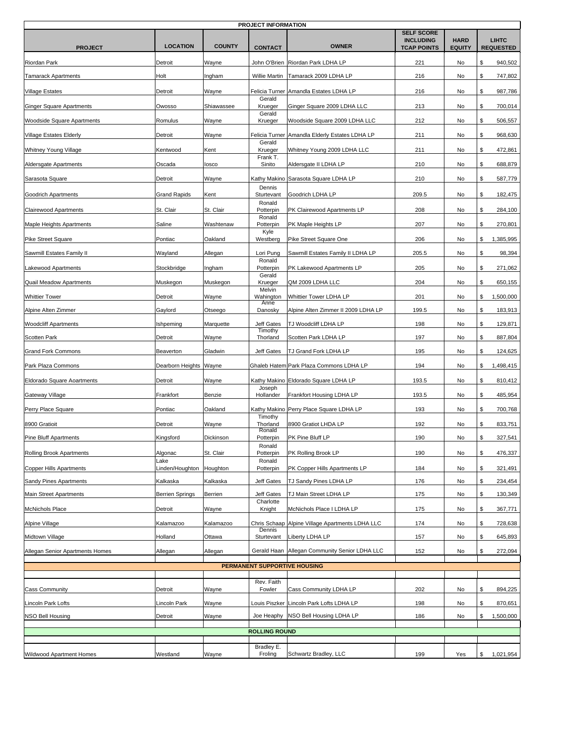| <b>PROJECT INFORMATION</b>      |                                     |               |                        |                                                |                                                             |                              |                                  |  |  |
|---------------------------------|-------------------------------------|---------------|------------------------|------------------------------------------------|-------------------------------------------------------------|------------------------------|----------------------------------|--|--|
| <b>PROJECT</b>                  | <b>LOCATION</b>                     | <b>COUNTY</b> | <b>CONTACT</b>         | <b>OWNER</b>                                   | <b>SELF SCORE</b><br><b>INCLUDING</b><br><b>TCAP POINTS</b> | <b>HARD</b><br><b>EQUITY</b> | <b>LIHTC</b><br><b>REQUESTED</b> |  |  |
| Riordan Park                    | Detroit                             | Wayne         | John O'Brien           | Riordan Park LDHA LP                           | 221                                                         | No                           | 940,502<br>\$                    |  |  |
| <b>Tamarack Apartments</b>      | Holt                                | Ingham        | Willie Martin          | Tamarack 2009 LDHA LP                          | 216                                                         | No                           | \$<br>747,802                    |  |  |
| <b>Village Estates</b>          | Detroit                             | Wayne         |                        | Felicia Turner Amandla Estates LDHA LP         | 216                                                         | No                           | 987,786<br>\$                    |  |  |
| Ginger Square Apartments        | Owosso                              | Shiawassee    | Gerald<br>Krueger      | Ginger Square 2009 LDHA LLC                    | 213                                                         | No                           | \$<br>700,014                    |  |  |
| Woodside Square Apartments      | Romulus                             | Wayne         | Gerald<br>Krueger      | Woodside Square 2009 LDHA LLC                  | 212                                                         | No                           | \$<br>506,557                    |  |  |
|                                 |                                     |               |                        |                                                |                                                             |                              |                                  |  |  |
| <b>Village Estates Elderly</b>  | Detroit                             | Wayne         | Gerald                 | Felicia Turner Amandla Elderly Estates LDHA LP | 211                                                         | No                           | \$<br>968,630                    |  |  |
| Whitney Young Village           | Kentwood                            | Kent          | Krueger<br>Frank T.    | Whitney Young 2009 LDHA LLC                    | 211                                                         | No                           | 472,861<br>\$                    |  |  |
| Aldersgate Apartments           | Oscada                              | losco         | Sinito                 | Aldersgate II LDHA LP                          | 210                                                         | No                           | \$<br>688,879                    |  |  |
| Sarasota Square                 | Detroit                             | Wayne         | Kathy Makino<br>Dennis | Sarasota Square LDHA LP                        | 210                                                         | No                           | \$<br>587,779                    |  |  |
| Goodrich Apartments             | <b>Grand Rapids</b>                 | Kent          | Sturtevant             | Goodrich LDHA LP                               | 209.5                                                       | No                           | \$<br>182,475                    |  |  |
| <b>Clairewood Apartments</b>    | St. Clair                           | St. Clair     | Ronald<br>Potterpin    | PK Clairewood Apartments LP                    | 208                                                         | No                           | 284,100<br>\$                    |  |  |
| Maple Heights Apartments        | Saline                              | Washtenaw     | Ronald<br>Potterpin    | PK Maple Heights LP                            | 207                                                         | No                           | \$<br>270,801                    |  |  |
| <b>Pike Street Square</b>       | Pontiac                             | Oakland       | Kyle<br>Westberg       | Pike Street Square One                         | 206                                                         | No                           | \$<br>1,385,995                  |  |  |
| Sawmill Estates Family II       | Wayland                             | Allegan       | Lori Pung              | Sawmill Estates Family II LDHA LP              | 205.5                                                       | No                           | \$<br>98,394                     |  |  |
| Lakewood Apartments             | Stockbridge                         | Ingham        | Ronald<br>Potterpin    | PK Lakewood Apartments LP                      | 205                                                         | No                           | 271,062<br>\$                    |  |  |
|                                 |                                     |               | Gerald                 | QM 2009 LDHA LLC                               | 204                                                         |                              | \$                               |  |  |
| Quail Meadow Apartments         | Muskegon                            | Muskegon      | Krueger<br>Melvin      |                                                |                                                             | No                           | 650,155                          |  |  |
| <b>Whittier Tower</b>           | Detroit                             | Wayne         | Wahington<br>Anne      | Whittier Tower LDHA LP                         | 201                                                         | No                           | 1,500,000<br>\$                  |  |  |
| Alpine Alten Zimmer             | Gaylord                             | Otseego       | Danosky                | Alpine Alten Zimmer II 2009 LDHA LP            | 199.5                                                       | No                           | \$<br>183,913                    |  |  |
| <b>Woodcliff Apartments</b>     | Ishpeming                           | Marquette     | Jeff Gates<br>Timothy  | TJ Woodcliff LDHA LP                           | 198                                                         | No                           | 129,871<br>\$                    |  |  |
| <b>Scotten Park</b>             | Detroit                             | Wayne         | Thorland               | Scotten Park LDHA LP                           | 197                                                         | No                           | \$<br>887,804                    |  |  |
| <b>Grand Fork Commons</b>       | Beaverton                           | Gladwin       | Jeff Gates             | TJ Grand Fork LDHA LP                          | 195                                                         | No                           | \$<br>124,625                    |  |  |
| Park Plaza Commons              | Dearborn Heights                    | Wayne         | Ghaleb Hatem           | Park Plaza Commons LDHA LP                     | 194                                                         | No                           | \$<br>1,498,415                  |  |  |
| Eldorado Square Aoartments      | Detroit                             | Wayne         | Joseph                 | Kathy Makino Eldorado Square LDHA LP           | 193.5                                                       | No                           | 810,412<br>\$                    |  |  |
| Gateway Village                 | Frankfort                           | Benzie        | Hollander              | Frankfort Housing LDHA LP                      | 193.5                                                       | No                           | \$<br>485,954                    |  |  |
| Perry Place Square              | Pontiac                             | Oakland       |                        | Kathy Makino Perry Place Square LDHA LP        | 193                                                         | No                           | \$<br>700,768                    |  |  |
| 8900 Gratioit                   | Detroit                             | Wayne         | Timothy<br>Thorland    | 8900 Gratiot LHDA LP                           | 192                                                         | No                           | 833,751<br>\$                    |  |  |
| Pine Bluff Apartments           | Kingsford                           | Dickinson     | Ronald<br>Potterpin    | PK Pine Bluff LP                               | 190                                                         | No                           | \$<br>327,541                    |  |  |
| <b>Rolling Brook Apartments</b> | Algonac                             | St. Clair     | Ronald<br>Potterpin    | PK Rolling Brook LP                            | 190                                                         | No                           | 476,337<br>\$                    |  |  |
| <b>Copper Hills Apartments</b>  | Lake<br>inden/Houghton              | Houghton      | Ronald<br>Potterpin    | PK Copper Hills Apartments LP                  | 184                                                         | No                           | \$<br>321,491                    |  |  |
| Sandy Pines Apartments          | Kalkaska                            | Kalkaska      | Jeff Gates             | TJ Sandy Pines LDHA LP                         | 176                                                         | No                           | \$<br>234,454                    |  |  |
| <b>Main Street Apartments</b>   | <b>Berrien Springs</b>              | Berrien       | Jeff Gates             | TJ Main Street LDHA LP                         | 175                                                         | No                           | \$<br>130,349                    |  |  |
| <b>McNichols Place</b>          | Detroit                             | Wayne         | Charlotte<br>Knight    | McNichols Place I LDHA LP                      | 175                                                         | No                           | 367,771<br>\$                    |  |  |
| Alpine Village                  | Kalamazoo                           | Kalamazoo     | Chris Schaap           | Alpine Village Apartments LDHA LLC             | 174                                                         | No                           | \$<br>728,638                    |  |  |
| Midtown Village                 | Holland                             | Ottawa        | Dennis<br>Sturtevant   | Liberty LDHA LP                                | 157                                                         | No                           | 645,893<br>\$                    |  |  |
| Allegan Senior Apartments Homes | Allegan                             | Allegan       | Gerald Haan            | Allegan Community Senior LDHA LLC              | 152                                                         | No                           | \$<br>272,094                    |  |  |
|                                 |                                     |               |                        |                                                |                                                             |                              |                                  |  |  |
|                                 | <b>PERMANENT SUPPORTIVE HOUSING</b> |               |                        |                                                |                                                             |                              |                                  |  |  |
| <b>Cass Community</b>           | Detroit                             | Wayne         | Rev. Faith<br>Fowler   | Cass Community LDHA LP                         | 202                                                         | No                           | 894,225<br>\$                    |  |  |
| Lincoln Park Lofts              | Lincoln Park                        | Wayne         |                        | Louis Piszker Lincoln Park Lofts LDHA LP       | 198                                                         | No                           | \$<br>870,651                    |  |  |
| NSO Bell Housing                | Detroit                             | Wayne         | Joe Heaphy             | NSO Bell Housing LDHA LP                       | 186                                                         | No                           | 1,500,000<br>\$                  |  |  |
|                                 |                                     |               | <b>ROLLING ROUND</b>   |                                                |                                                             |                              |                                  |  |  |
|                                 |                                     |               |                        |                                                |                                                             |                              |                                  |  |  |
| Wildwood Apartment Homes        | Westland                            | Wayne         | Bradley E.<br>Froling  | Schwartz Bradley, LLC                          | 199                                                         | Yes                          | 1,021,954<br>\$                  |  |  |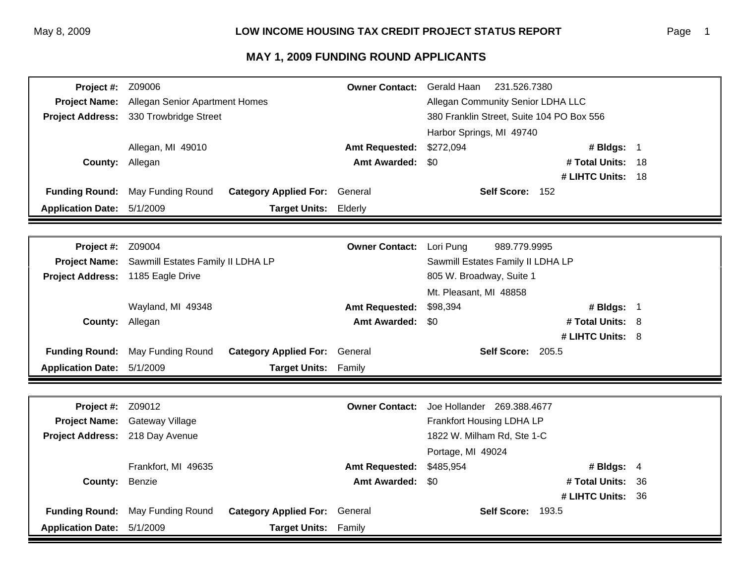| Project #:               | Z09006                            |                                      | <b>Owner Contact:</b>  | Gerald Haan<br>231.526.7380               |                   |      |
|--------------------------|-----------------------------------|--------------------------------------|------------------------|-------------------------------------------|-------------------|------|
| <b>Project Name:</b>     | Allegan Senior Apartment Homes    |                                      |                        | Allegan Community Senior LDHA LLC         |                   |      |
| <b>Project Address:</b>  | 330 Trowbridge Street             |                                      |                        | 380 Franklin Street, Suite 104 PO Box 556 |                   |      |
|                          |                                   |                                      |                        | Harbor Springs, MI 49740                  |                   |      |
|                          | Allegan, MI 49010                 |                                      | <b>Amt Requested:</b>  | \$272,094                                 | # Bldgs: 1        |      |
| County:                  | Allegan                           |                                      | <b>Amt Awarded:</b>    | \$0                                       | # Total Units: 18 |      |
|                          |                                   |                                      |                        |                                           | # LIHTC Units: 18 |      |
| <b>Funding Round:</b>    | May Funding Round                 | <b>Category Applied For:</b>         | General                | Self Score: 152                           |                   |      |
| <b>Application Date:</b> | 5/1/2009                          | <b>Target Units:</b>                 | Elderly                |                                           |                   |      |
|                          |                                   |                                      |                        |                                           |                   |      |
| Project #:               | Z09004                            |                                      | <b>Owner Contact:</b>  | Lori Pung<br>989.779.9995                 |                   |      |
| <b>Project Name:</b>     | Sawmill Estates Family II LDHA LP |                                      |                        | Sawmill Estates Family II LDHA LP         |                   |      |
| <b>Project Address:</b>  | 1185 Eagle Drive                  |                                      |                        | 805 W. Broadway, Suite 1                  |                   |      |
|                          |                                   |                                      | Mt. Pleasant, MI 48858 |                                           |                   |      |
|                          | Wayland, MI 49348                 |                                      | <b>Amt Requested:</b>  | \$98,394                                  | # Bldgs: 1        |      |
| County:                  | Allegan                           |                                      | <b>Amt Awarded:</b>    | \$0                                       | # Total Units: 8  |      |
|                          |                                   |                                      |                        |                                           | # LIHTC Units: 8  |      |
| <b>Funding Round:</b>    | May Funding Round                 | <b>Category Applied For: General</b> |                        | Self Score: 205.5                         |                   |      |
| <b>Application Date:</b> | 5/1/2009                          | Target Units: Family                 |                        |                                           |                   |      |
|                          |                                   |                                      |                        |                                           |                   |      |
| Project #:               | Z09012                            |                                      | <b>Owner Contact:</b>  | Joe Hollander 269.388.4677                |                   |      |
| <b>Project Name:</b>     | Gateway Village                   |                                      |                        | Frankfort Housing LDHA LP                 |                   |      |
| <b>Project Address:</b>  | 218 Day Avenue                    |                                      |                        | 1822 W. Milham Rd, Ste 1-C                |                   |      |
|                          |                                   |                                      |                        | Portage, MI 49024                         |                   |      |
|                          | Frankfort, MI 49635               |                                      | <b>Amt Requested:</b>  | \$485,954                                 | # Bldgs: 4        |      |
| County:                  | Benzie                            |                                      | <b>Amt Awarded:</b>    | \$0                                       | # Total Units:    | 36   |
|                          |                                   |                                      |                        |                                           | # LIHTC Units:    | - 36 |
| <b>Funding Round:</b>    | May Funding Round                 | <b>Category Applied For:</b>         | General                | <b>Self Score: 193.5</b>                  |                   |      |
| <b>Application Date:</b> | 5/1/2009                          | <b>Target Units: Family</b>          |                        |                                           |                   |      |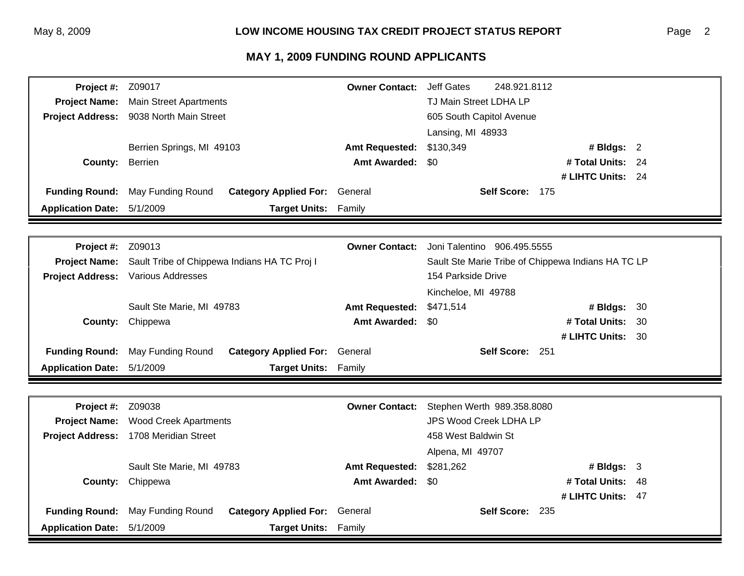| Project #:               | Z09017                                       |                                      | <b>Owner Contact:</b> | <b>Jeff Gates</b>             | 248.921.8112                                       |  |
|--------------------------|----------------------------------------------|--------------------------------------|-----------------------|-------------------------------|----------------------------------------------------|--|
| <b>Project Name:</b>     | <b>Main Street Apartments</b>                |                                      |                       | TJ Main Street LDHA LP        |                                                    |  |
| <b>Project Address:</b>  | 9038 North Main Street                       |                                      |                       | 605 South Capitol Avenue      |                                                    |  |
|                          |                                              |                                      |                       | Lansing, MI 48933             |                                                    |  |
|                          | Berrien Springs, MI 49103                    |                                      | <b>Amt Requested:</b> | \$130,349                     | # Bldgs: 2                                         |  |
| County:                  | Berrien                                      |                                      | <b>Amt Awarded:</b>   | \$0                           | # Total Units:<br>24                               |  |
|                          |                                              |                                      |                       |                               | # LIHTC Units: 24                                  |  |
| <b>Funding Round:</b>    | May Funding Round                            | <b>Category Applied For: General</b> |                       |                               | Self Score: 175                                    |  |
| <b>Application Date:</b> | 5/1/2009                                     | <b>Target Units:</b>                 | Family                |                               |                                                    |  |
|                          |                                              |                                      |                       |                               |                                                    |  |
| Project #:               | Z09013                                       |                                      | <b>Owner Contact:</b> | Joni Talentino 906.495.5555   |                                                    |  |
| <b>Project Name:</b>     | Sault Tribe of Chippewa Indians HA TC Proj I |                                      |                       |                               | Sault Ste Marie Tribe of Chippewa Indians HA TC LP |  |
| <b>Project Address:</b>  | <b>Various Addresses</b>                     |                                      |                       | 154 Parkside Drive            |                                                    |  |
|                          |                                              |                                      |                       | Kincheloe, MI 49788           |                                                    |  |
|                          | Sault Ste Marie, MI 49783                    |                                      | <b>Amt Requested:</b> | \$471,514                     | # Bldgs:<br>30                                     |  |
| County:                  | Chippewa                                     |                                      | <b>Amt Awarded:</b>   | \$0                           | # Total Units:<br>30                               |  |
|                          |                                              |                                      |                       |                               | # LIHTC Units: 30                                  |  |
| <b>Funding Round:</b>    | May Funding Round                            | <b>Category Applied For: General</b> |                       |                               | Self Score: 251                                    |  |
| <b>Application Date:</b> | 5/1/2009                                     | Target Units: Family                 |                       |                               |                                                    |  |
|                          |                                              |                                      |                       |                               |                                                    |  |
| Project #:               | Z09038                                       |                                      | <b>Owner Contact:</b> | Stephen Werth 989.358.8080    |                                                    |  |
| <b>Project Name:</b>     | <b>Wood Creek Apartments</b>                 |                                      |                       | <b>JPS Wood Creek LDHA LP</b> |                                                    |  |
| <b>Project Address:</b>  | 1708 Meridian Street                         |                                      |                       | 458 West Baldwin St           |                                                    |  |
|                          |                                              |                                      |                       | Alpena, MI 49707              |                                                    |  |
|                          | Sault Ste Marie, MI 49783                    |                                      | <b>Amt Requested:</b> | \$281,262                     | # Bldgs: $3$                                       |  |
| County:                  | Chippewa                                     |                                      | <b>Amt Awarded:</b>   | \$0                           | # Total Units:<br>48                               |  |
|                          |                                              |                                      |                       |                               | # LIHTC Units: 47                                  |  |
| <b>Funding Round:</b>    | May Funding Round                            | <b>Category Applied For: General</b> |                       |                               | Self Score: 235                                    |  |
| <b>Application Date:</b> | 5/1/2009                                     | <b>Target Units:</b>                 | Family                |                               |                                                    |  |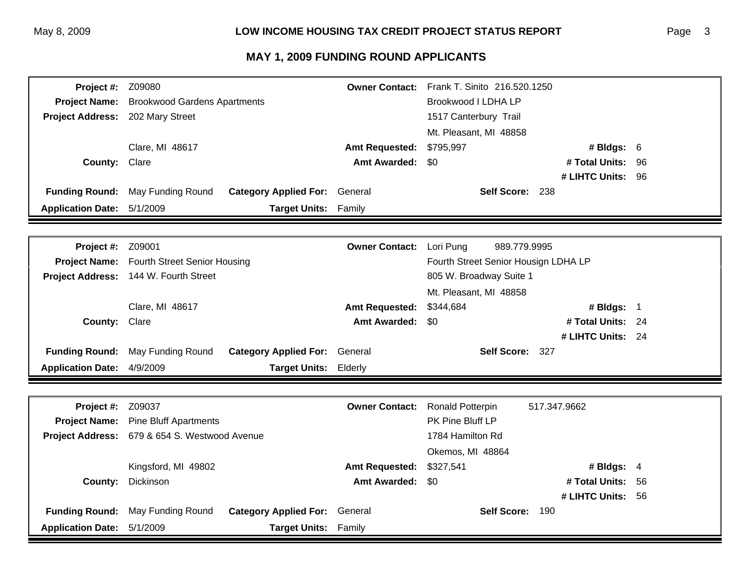| Project #:               | Z09080                              |                              | <b>Owner Contact:</b> | Frank T. Sinito 216.520.1250         |                   |    |
|--------------------------|-------------------------------------|------------------------------|-----------------------|--------------------------------------|-------------------|----|
| <b>Project Name:</b>     | <b>Brookwood Gardens Apartments</b> |                              |                       | Brookwood I LDHA LP                  |                   |    |
| <b>Project Address:</b>  | 202 Mary Street                     |                              |                       | 1517 Canterbury Trail                |                   |    |
|                          |                                     |                              |                       | Mt. Pleasant, MI 48858               |                   |    |
|                          | Clare, MI 48617                     |                              | <b>Amt Requested:</b> | \$795,997                            | # Bldgs: 6        |    |
| County:                  | Clare                               |                              | <b>Amt Awarded:</b>   | \$0                                  | # Total Units:    | 96 |
|                          |                                     |                              |                       |                                      | # LIHTC Units: 96 |    |
| <b>Funding Round:</b>    | May Funding Round                   | <b>Category Applied For:</b> | General               | Self Score: 238                      |                   |    |
| <b>Application Date:</b> | 5/1/2009                            | <b>Target Units:</b>         | Family                |                                      |                   |    |
|                          |                                     |                              |                       |                                      |                   |    |
|                          |                                     |                              |                       |                                      |                   |    |
| Project #:               | Z09001                              |                              | <b>Owner Contact:</b> | Lori Pung<br>989.779.9995            |                   |    |
| <b>Project Name:</b>     | <b>Fourth Street Senior Housing</b> |                              |                       | Fourth Street Senior Housign LDHA LP |                   |    |
| <b>Project Address:</b>  | 144 W. Fourth Street                |                              |                       | 805 W. Broadway Suite 1              |                   |    |
|                          |                                     |                              |                       | Mt. Pleasant, MI 48858               |                   |    |
|                          | Clare, MI 48617                     |                              | <b>Amt Requested:</b> | \$344,684                            | # Bldgs: 1        |    |
| County:                  | Clare                               |                              | <b>Amt Awarded:</b>   | \$0                                  | # Total Units: 24 |    |
|                          |                                     |                              |                       |                                      | # LIHTC Units: 24 |    |
| <b>Funding Round:</b>    | May Funding Round                   | <b>Category Applied For:</b> | General               | Self Score: 327                      |                   |    |
| <b>Application Date:</b> | 4/9/2009                            | <b>Target Units:</b>         | Elderly               |                                      |                   |    |
|                          |                                     |                              |                       |                                      |                   |    |
| Project #:               | Z09037                              |                              | <b>Owner Contact:</b> | Ronald Potterpin                     | 517.347.9662      |    |
| <b>Project Name:</b>     | <b>Pine Bluff Apartments</b>        |                              |                       | PK Pine Bluff LP                     |                   |    |
| <b>Project Address:</b>  | 679 & 654 S. Westwood Avenue        |                              |                       | 1784 Hamilton Rd                     |                   |    |
|                          |                                     |                              |                       | Okemos, MI 48864                     |                   |    |
|                          | Kingsford, MI 49802                 |                              | <b>Amt Requested:</b> | \$327,541                            | # Bldgs: 4        |    |
| County:                  | Dickinson                           |                              | <b>Amt Awarded:</b>   | \$0                                  | # Total Units:    | 56 |
|                          |                                     |                              |                       |                                      | # LIHTC Units: 56 |    |
| <b>Funding Round:</b>    | May Funding Round                   | <b>Category Applied For:</b> | General               | <b>Self Score:</b>                   | 190               |    |
| <b>Application Date:</b> | 5/1/2009                            | <b>Target Units:</b>         | Family                |                                      |                   |    |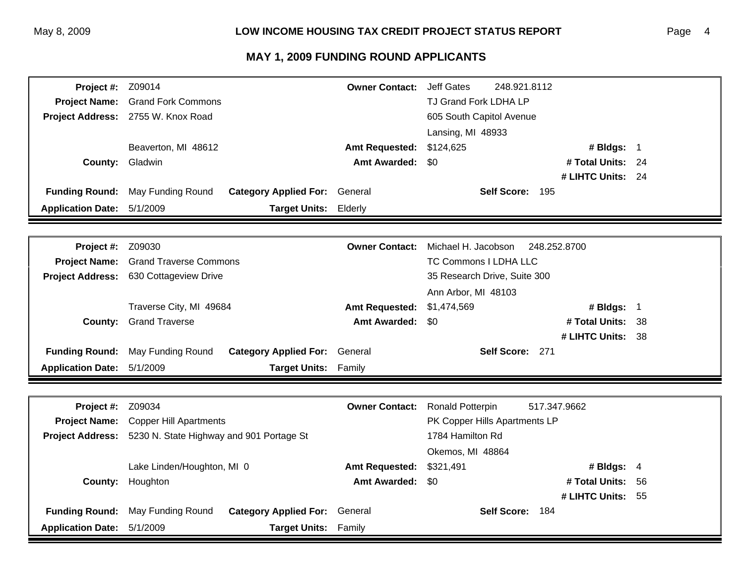| Project #:                         | Z09014                                                    |                             | <b>Owner Contact:</b> | <b>Jeff Gates</b>            | 248.921.8112                  |    |
|------------------------------------|-----------------------------------------------------------|-----------------------------|-----------------------|------------------------------|-------------------------------|----|
| <b>Project Name:</b>               | <b>Grand Fork Commons</b>                                 |                             |                       | TJ Grand Fork LDHA LP        |                               |    |
| <b>Project Address:</b>            | 2755 W. Knox Road                                         |                             |                       | 605 South Capitol Avenue     |                               |    |
|                                    |                                                           |                             |                       | Lansing, MI 48933            |                               |    |
|                                    | Beaverton, MI 48612                                       |                             | <b>Amt Requested:</b> | \$124,625                    | # Bldgs: 1                    |    |
| County:                            | Gladwin                                                   |                             | <b>Amt Awarded:</b>   | \$0                          | # Total Units: 24             |    |
|                                    |                                                           |                             |                       |                              | # LIHTC Units: 24             |    |
| <b>Funding Round:</b>              | May Funding Round<br><b>Category Applied For:</b>         |                             | General               |                              | Self Score: 195               |    |
| <b>Application Date:</b>           | 5/1/2009                                                  | <b>Target Units:</b>        | Elderly               |                              |                               |    |
|                                    |                                                           |                             |                       |                              |                               |    |
|                                    |                                                           |                             | <b>Owner Contact:</b> | Michael H. Jacobson          | 248.252.8700                  |    |
| Project #:<br><b>Project Name:</b> | Z09030                                                    |                             |                       | TC Commons I LDHA LLC        |                               |    |
| <b>Project Address:</b>            | <b>Grand Traverse Commons</b>                             |                             |                       | 35 Research Drive, Suite 300 |                               |    |
|                                    | 630 Cottageview Drive                                     |                             |                       |                              |                               |    |
|                                    |                                                           |                             | Ann Arbor, MI 48103   |                              |                               |    |
|                                    | Traverse City, MI 49684                                   |                             | <b>Amt Requested:</b> | \$1,474,569                  | # Bldgs: 1                    |    |
| County:                            | <b>Grand Traverse</b>                                     |                             | <b>Amt Awarded:</b>   | \$0                          | # Total Units: 38             |    |
|                                    |                                                           |                             |                       |                              | # LIHTC Units: 38             |    |
| <b>Funding Round:</b>              | May Funding Round<br><b>Category Applied For:</b> General |                             |                       |                              | Self Score: 271               |    |
| <b>Application Date:</b>           | 5/1/2009                                                  | <b>Target Units:</b>        | Family                |                              |                               |    |
|                                    |                                                           |                             |                       |                              |                               |    |
| Project #:                         | Z09034                                                    |                             | <b>Owner Contact:</b> | <b>Ronald Potterpin</b>      | 517.347.9662                  |    |
| <b>Project Name:</b>               | <b>Copper Hill Apartments</b>                             |                             |                       |                              | PK Copper Hills Apartments LP |    |
| <b>Project Address:</b>            | 5230 N. State Highway and 901 Portage St                  |                             |                       | 1784 Hamilton Rd             |                               |    |
|                                    |                                                           |                             |                       | Okemos, MI 48864             |                               |    |
|                                    | Lake Linden/Houghton, MI 0                                |                             | <b>Amt Requested:</b> | \$321,491                    | # Bldgs: $4$                  |    |
| County:                            | Houghton                                                  |                             | <b>Amt Awarded:</b>   | \$0                          | # Total Units:                | 56 |
|                                    |                                                           |                             |                       |                              | # LIHTC Units: 55             |    |
| <b>Funding Round:</b>              | May Funding Round<br><b>Category Applied For:</b>         |                             | General               |                              | Self Score: 184               |    |
| <b>Application Date:</b>           | 5/1/2009                                                  | <b>Target Units: Family</b> |                       |                              |                               |    |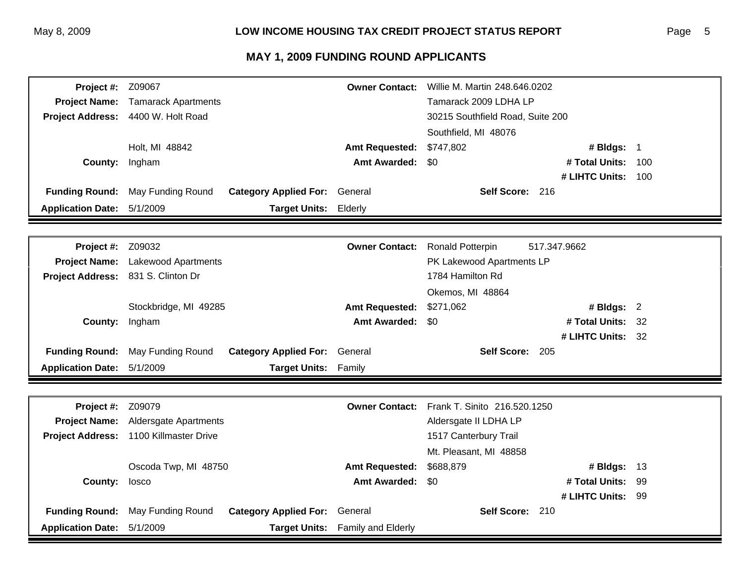| Project #:               | Z09067                     |                                      | <b>Owner Contact:</b> | Willie M. Martin 248.646.0202    |                   |     |
|--------------------------|----------------------------|--------------------------------------|-----------------------|----------------------------------|-------------------|-----|
| <b>Project Name:</b>     | <b>Tamarack Apartments</b> |                                      |                       | Tamarack 2009 LDHA LP            |                   |     |
| <b>Project Address:</b>  | 4400 W. Holt Road          |                                      |                       | 30215 Southfield Road, Suite 200 |                   |     |
|                          |                            |                                      |                       | Southfield, MI 48076             |                   |     |
|                          | Holt. MI 48842             |                                      | <b>Amt Requested:</b> | \$747,802                        | # Bldgs: 1        |     |
| County:                  | Ingham                     |                                      | <b>Amt Awarded:</b>   | \$0                              | # Total Units:    | 100 |
|                          |                            |                                      |                       |                                  | # LIHTC Units:    | 100 |
| <b>Funding Round:</b>    | May Funding Round          | <b>Category Applied For:</b> General |                       | Self Score: 216                  |                   |     |
| <b>Application Date:</b> | 5/1/2009                   | <b>Target Units:</b>                 | Elderly               |                                  |                   |     |
|                          |                            |                                      |                       |                                  |                   |     |
| Project #:               | Z09032                     |                                      | <b>Owner Contact:</b> | <b>Ronald Potterpin</b>          | 517.347.9662      |     |
| <b>Project Name:</b>     | Lakewood Apartments        |                                      |                       | PK Lakewood Apartments LP        |                   |     |
| <b>Project Address:</b>  | 831 S. Clinton Dr          |                                      |                       | 1784 Hamilton Rd                 |                   |     |
|                          |                            |                                      |                       | Okemos, MI 48864                 |                   |     |
|                          | Stockbridge, MI 49285      |                                      | <b>Amt Requested:</b> | \$271,062                        | # Bldgs: $2$      |     |
| County:                  | Ingham                     |                                      | <b>Amt Awarded:</b>   | \$0                              | # Total Units:    | 32  |
|                          |                            |                                      |                       |                                  | # LIHTC Units: 32 |     |
| <b>Funding Round:</b>    | May Funding Round          | <b>Category Applied For: General</b> |                       | Self Score: 205                  |                   |     |
| <b>Application Date:</b> | 5/1/2009                   | Target Units: Family                 |                       |                                  |                   |     |
|                          |                            |                                      |                       |                                  |                   |     |
| Project #:               | Z09079                     |                                      | <b>Owner Contact:</b> | Frank T. Sinito 216.520.1250     |                   |     |
| <b>Project Name:</b>     | Aldersgate Apartments      |                                      |                       | Aldersgate II LDHA LP            |                   |     |
| <b>Project Address:</b>  | 1100 Killmaster Drive      |                                      |                       | 1517 Canterbury Trail            |                   |     |
|                          |                            |                                      |                       | Mt. Pleasant, MI 48858           |                   |     |
|                          | Oscoda Twp, MI 48750       |                                      | <b>Amt Requested:</b> | \$688,879                        | # Bldgs: $13$     |     |
| County:                  | losco                      |                                      | <b>Amt Awarded:</b>   | \$0                              | # Total Units:    | -99 |
|                          |                            |                                      |                       |                                  | # LIHTC Units: 99 |     |
| <b>Funding Round:</b>    | May Funding Round          | <b>Category Applied For:</b>         | General               | Self Score: 210                  |                   |     |
| <b>Application Date:</b> | 5/1/2009                   | <b>Target Units:</b>                 | Family and Elderly    |                                  |                   |     |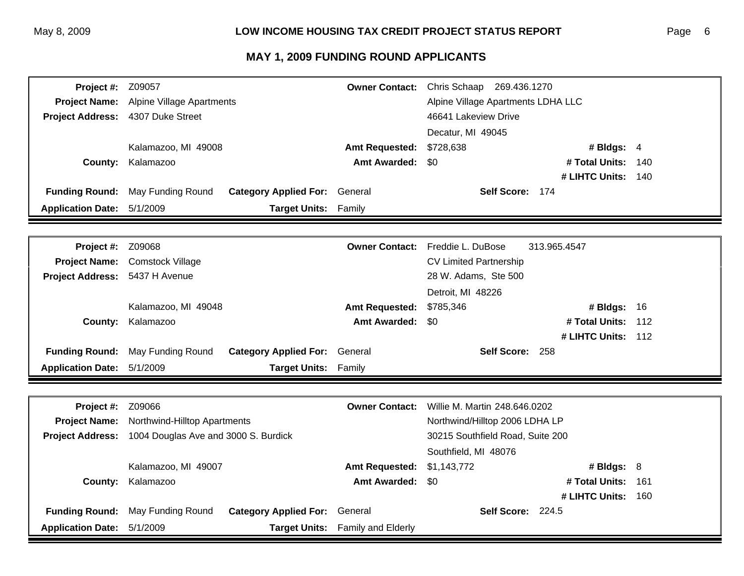| Project #:                 | Z09057                               |                              | <b>Owner Contact:</b>            | Chris Schaap 269.436.1270          |                    |        |
|----------------------------|--------------------------------------|------------------------------|----------------------------------|------------------------------------|--------------------|--------|
| <b>Project Name:</b>       | Alpine Village Apartments            |                              |                                  | Alpine Village Apartments LDHA LLC |                    |        |
| <b>Project Address:</b>    | 4307 Duke Street                     |                              |                                  | 46641 Lakeview Drive               |                    |        |
|                            |                                      |                              |                                  | Decatur, MI 49045                  |                    |        |
|                            | Kalamazoo, MI 49008                  |                              | <b>Amt Requested:</b>            | \$728,638                          | # Bldgs: 4         |        |
| County:                    | Kalamazoo                            |                              | <b>Amt Awarded:</b>              | \$0                                | # Total Units:     | 140    |
|                            |                                      |                              |                                  |                                    | # LIHTC Units: 140 |        |
| <b>Funding Round:</b>      | May Funding Round                    | <b>Category Applied For:</b> | General                          | Self Score: 174                    |                    |        |
| <b>Application Date:</b>   | 5/1/2009                             | <b>Target Units:</b>         | Family                           |                                    |                    |        |
|                            |                                      |                              |                                  |                                    |                    |        |
| Project #:                 | Z09068                               |                              | <b>Owner Contact:</b>            | Freddie L. DuBose                  | 313.965.4547       |        |
| <b>Project Name:</b>       | <b>Comstock Village</b>              |                              |                                  | <b>CV Limited Partnership</b>      |                    |        |
| <b>Project Address:</b>    | 5437 H Avenue                        |                              |                                  | 28 W. Adams, Ste 500               |                    |        |
|                            |                                      |                              |                                  | Detroit, MI 48226                  |                    |        |
|                            | Kalamazoo, MI 49048                  |                              | <b>Amt Requested:</b>            | \$785,346                          | # Bldgs: 16        |        |
| County:                    | Kalamazoo                            |                              | <b>Amt Awarded:</b>              | \$0                                | # Total Units:     | $-112$ |
|                            |                                      |                              |                                  |                                    | # LIHTC Units: 112 |        |
| <b>Funding Round:</b>      | May Funding Round                    | <b>Category Applied For:</b> | General                          | Self Score: 258                    |                    |        |
| <b>Application Date:</b>   | 5/1/2009                             | <b>Target Units:</b>         | Family                           |                                    |                    |        |
|                            |                                      |                              |                                  |                                    |                    |        |
|                            |                                      |                              |                                  |                                    |                    |        |
| Project #:                 | Z09066                               |                              | <b>Owner Contact:</b>            | Willie M. Martin 248.646.0202      |                    |        |
| <b>Project Name:</b>       | Northwind-Hilltop Apartments         |                              |                                  | Northwind/Hilltop 2006 LDHA LP     |                    |        |
| <b>Project Address:</b>    | 1004 Douglas Ave and 3000 S. Burdick |                              |                                  | 30215 Southfield Road, Suite 200   |                    |        |
|                            |                                      |                              |                                  | Southfield, MI 48076               |                    |        |
|                            | Kalamazoo, MI 49007                  |                              | <b>Amt Requested:</b>            | \$1,143,772                        | # Bldgs: 8         |        |
| County:                    | Kalamazoo                            |                              | <b>Amt Awarded:</b>              | \$0                                | # Total Units:     | 161    |
|                            |                                      |                              |                                  |                                    | # LIHTC Units:     | 160    |
| <b>Funding Round:</b>      | May Funding Round                    | <b>Category Applied For:</b> | General                          | Self Score: 224.5                  |                    |        |
| Application Date: 5/1/2009 |                                      |                              | Target Units: Family and Elderly |                                    |                    |        |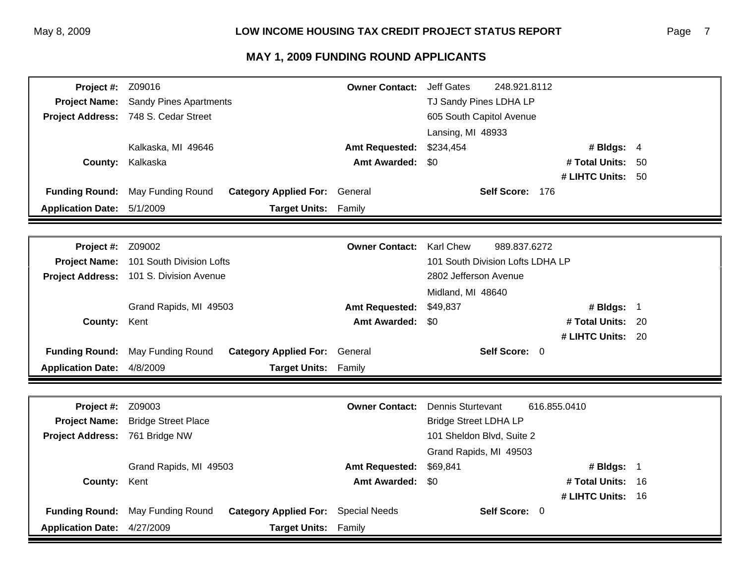| Project #:               | Z09016                                          |                                      | <b>Owner Contact:</b> | <b>Jeff Gates</b>                | 248.921.8112    |                   |      |
|--------------------------|-------------------------------------------------|--------------------------------------|-----------------------|----------------------------------|-----------------|-------------------|------|
| <b>Project Name:</b>     | <b>Sandy Pines Apartments</b>                   |                                      |                       | TJ Sandy Pines LDHA LP           |                 |                   |      |
|                          | Project Address: 748 S. Cedar Street            |                                      |                       | 605 South Capitol Avenue         |                 |                   |      |
|                          |                                                 |                                      |                       | Lansing, MI 48933                |                 |                   |      |
|                          | Kalkaska, MI 49646                              |                                      | <b>Amt Requested:</b> | \$234,454                        |                 | # Bldgs: 4        |      |
| County:                  | Kalkaska                                        |                                      | <b>Amt Awarded:</b>   | \$0                              |                 | # Total Units:    | 50   |
|                          |                                                 |                                      |                       |                                  |                 | # LIHTC Units: 50 |      |
| <b>Funding Round:</b>    | May Funding Round                               | <b>Category Applied For: General</b> |                       |                                  | Self Score: 176 |                   |      |
| <b>Application Date:</b> | 5/1/2009                                        | <b>Target Units:</b>                 | Family                |                                  |                 |                   |      |
|                          |                                                 |                                      |                       |                                  |                 |                   |      |
| <b>Project #: Z09002</b> |                                                 |                                      | <b>Owner Contact:</b> | <b>Karl Chew</b>                 | 989.837.6272    |                   |      |
| <b>Project Name:</b>     | 101 South Division Lofts                        |                                      |                       | 101 South Division Lofts LDHA LP |                 |                   |      |
|                          | Project Address: 101 S. Division Avenue         |                                      |                       | 2802 Jefferson Avenue            |                 |                   |      |
|                          |                                                 |                                      | Midland, MI 48640     |                                  |                 |                   |      |
|                          | Grand Rapids, MI 49503<br><b>Amt Requested:</b> |                                      | \$49,837              |                                  | # Bldgs: 1      |                   |      |
| <b>County:</b>           | Kent                                            |                                      | <b>Amt Awarded:</b>   | \$0                              |                 | # Total Units: 20 |      |
|                          |                                                 |                                      |                       |                                  |                 | # LIHTC Units: 20 |      |
| <b>Funding Round:</b>    | May Funding Round                               | <b>Category Applied For:</b>         | General               |                                  | Self Score: 0   |                   |      |
| <b>Application Date:</b> | 4/8/2009                                        | <b>Target Units:</b>                 | Family                |                                  |                 |                   |      |
|                          |                                                 |                                      |                       |                                  |                 |                   |      |
|                          |                                                 |                                      |                       |                                  |                 |                   |      |
| Project #:               | Z09003                                          |                                      | <b>Owner Contact:</b> | Dennis Sturtevant                |                 | 616.855.0410      |      |
| <b>Project Name:</b>     | <b>Bridge Street Place</b>                      |                                      |                       | <b>Bridge Street LDHA LP</b>     |                 |                   |      |
| <b>Project Address:</b>  | 761 Bridge NW                                   |                                      |                       | 101 Sheldon Blvd, Suite 2        |                 |                   |      |
|                          |                                                 |                                      |                       | Grand Rapids, MI 49503           |                 |                   |      |
|                          | Grand Rapids, MI 49503                          |                                      | <b>Amt Requested:</b> | \$69,841                         |                 | # Bldgs: 1        |      |
| <b>County:</b>           | Kent                                            |                                      | <b>Amt Awarded:</b>   | \$0                              |                 | # Total Units:    | - 16 |
|                          |                                                 |                                      |                       |                                  |                 | # LIHTC Units: 16 |      |
| <b>Funding Round:</b>    | May Funding Round                               | <b>Category Applied For:</b>         | <b>Special Needs</b>  |                                  | Self Score: 0   |                   |      |
| <b>Application Date:</b> | 4/27/2009                                       | <b>Target Units: Family</b>          |                       |                                  |                 |                   |      |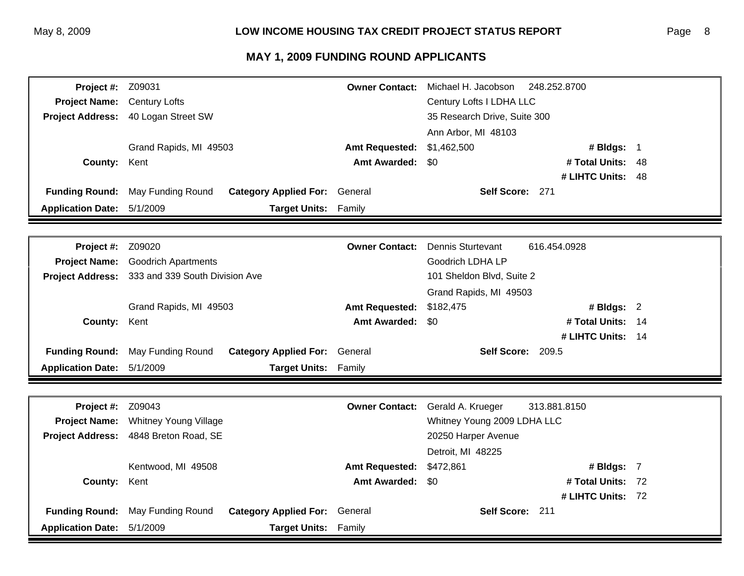| Project #:               | Z09031                                                                   | <b>Owner Contact:</b>       | Michael H. Jacobson          | 248.252.8700      |  |
|--------------------------|--------------------------------------------------------------------------|-----------------------------|------------------------------|-------------------|--|
| <b>Project Name:</b>     | <b>Century Lofts</b>                                                     |                             | Century Lofts I LDHA LLC     |                   |  |
| <b>Project Address:</b>  | 40 Logan Street SW                                                       |                             | 35 Research Drive, Suite 300 |                   |  |
|                          |                                                                          |                             | Ann Arbor, MI 48103          |                   |  |
|                          | Grand Rapids, MI 49503                                                   | <b>Amt Requested:</b>       | \$1,462,500                  | # Bldgs: 1        |  |
| County:                  | Kent                                                                     | <b>Amt Awarded:</b>         | \$0                          | # Total Units: 48 |  |
|                          |                                                                          |                             |                              | # LIHTC Units: 48 |  |
|                          | Funding Round: May Funding Round<br><b>Category Applied For: General</b> |                             | Self Score: 271              |                   |  |
| <b>Application Date:</b> | 5/1/2009                                                                 | <b>Target Units: Family</b> |                              |                   |  |
|                          |                                                                          |                             |                              |                   |  |
|                          |                                                                          | <b>Owner Contact:</b>       | Dennis Sturtevant            |                   |  |
| <b>Project #: Z09020</b> |                                                                          |                             | <b>Goodrich LDHA LP</b>      | 616.454.0928      |  |
| <b>Project Name:</b>     | <b>Goodrich Apartments</b>                                               |                             | 101 Sheldon Blvd, Suite 2    |                   |  |
|                          | Project Address: 333 and 339 South Division Ave                          |                             |                              |                   |  |
|                          |                                                                          |                             | Grand Rapids, MI 49503       |                   |  |
|                          | Grand Rapids, MI 49503                                                   | <b>Amt Requested:</b>       | \$182,475                    | # Bldgs: 2        |  |
| <b>County:</b>           | Kent                                                                     | <b>Amt Awarded:</b>         | \$0                          | # Total Units: 14 |  |
|                          |                                                                          |                             |                              | # LIHTC Units: 14 |  |
| <b>Funding Round:</b>    | May Funding Round<br><b>Category Applied For: General</b>                |                             | Self Score: 209.5            |                   |  |
| <b>Application Date:</b> | 5/1/2009                                                                 | Target Units: Family        |                              |                   |  |
|                          |                                                                          |                             |                              |                   |  |
| Project #:               | Z09043                                                                   | <b>Owner Contact:</b>       | Gerald A. Krueger            | 313.881.8150      |  |
| <b>Project Name:</b>     | <b>Whitney Young Village</b>                                             |                             | Whitney Young 2009 LDHA LLC  |                   |  |
| <b>Project Address:</b>  | 4848 Breton Road, SE                                                     |                             | 20250 Harper Avenue          |                   |  |
|                          |                                                                          |                             | Detroit, MI 48225            |                   |  |
|                          | Kentwood, MI 49508                                                       | <b>Amt Requested:</b>       | \$472,861                    | # Bldgs: 7        |  |
| <b>County:</b>           | Kent                                                                     | <b>Amt Awarded:</b>         | \$0                          | # Total Units: 72 |  |
|                          |                                                                          |                             |                              | # LIHTC Units: 72 |  |
| <b>Funding Round:</b>    | May Funding Round<br><b>Category Applied For:</b>                        | General                     | Self Score: 211              |                   |  |
| <b>Application Date:</b> | 5/1/2009<br><b>Target Units:</b>                                         | Family                      |                              |                   |  |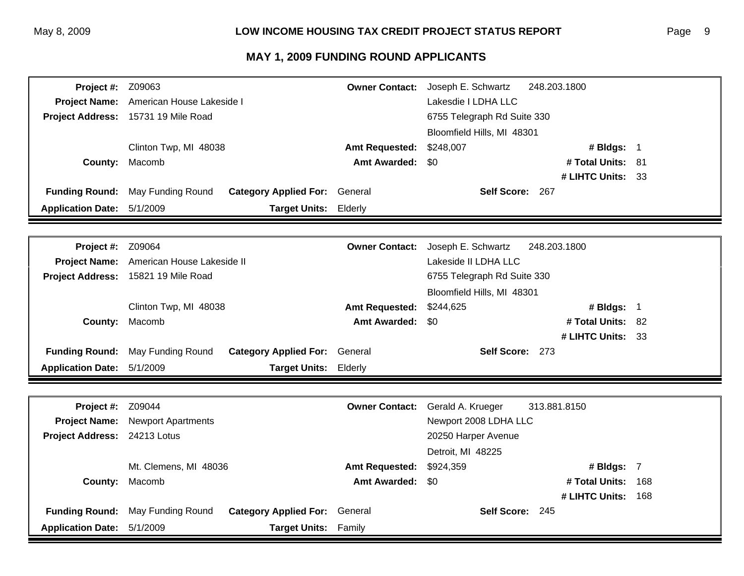| <b>Project #: Z09063</b>   |                                                           | <b>Owner Contact:</b> | Joseph E. Schwartz<br>248.203.1800 |       |  |
|----------------------------|-----------------------------------------------------------|-----------------------|------------------------------------|-------|--|
| <b>Project Name:</b>       | American House Lakeside I                                 |                       | Lakesdie I LDHA LLC                |       |  |
|                            | Project Address: 15731 19 Mile Road                       |                       | 6755 Telegraph Rd Suite 330        |       |  |
|                            |                                                           |                       | Bloomfield Hills, MI 48301         |       |  |
|                            | Clinton Twp, MI 48038                                     | <b>Amt Requested:</b> | \$248,007<br># Bldgs: 1            |       |  |
| County:                    | Macomb                                                    | <b>Amt Awarded:</b>   | \$0<br># Total Units: 81           |       |  |
|                            |                                                           |                       | # LIHTC Units: 33                  |       |  |
| <b>Funding Round:</b>      | May Funding Round<br><b>Category Applied For:</b> General |                       | Self Score: 267                    |       |  |
| <b>Application Date:</b>   | 5/1/2009<br><b>Target Units:</b>                          | Elderly               |                                    |       |  |
|                            |                                                           |                       |                                    |       |  |
| <b>Project #: Z09064</b>   |                                                           | <b>Owner Contact:</b> | Joseph E. Schwartz<br>248.203.1800 |       |  |
|                            | Project Name: American House Lakeside II                  |                       | Lakeside II LDHA LLC               |       |  |
|                            | Project Address: 15821 19 Mile Road                       |                       | 6755 Telegraph Rd Suite 330        |       |  |
|                            |                                                           |                       | Bloomfield Hills, MI 48301         |       |  |
|                            | Clinton Twp, MI 48038                                     | <b>Amt Requested:</b> | \$244,625<br># Bldgs: 1            |       |  |
| County:                    | Macomb                                                    | <b>Amt Awarded:</b>   | # Total Units: 82<br>- \$0         |       |  |
|                            |                                                           |                       | # LIHTC Units: 33                  |       |  |
| <b>Funding Round:</b>      | May Funding Round<br><b>Category Applied For:</b> General |                       | Self Score: 273                    |       |  |
| <b>Application Date:</b>   | 5/1/2009<br><b>Target Units:</b>                          | Elderly               |                                    |       |  |
|                            |                                                           |                       |                                    |       |  |
| Project #:                 | Z09044                                                    | <b>Owner Contact:</b> | Gerald A. Krueger<br>313.881.8150  |       |  |
| <b>Project Name:</b>       | <b>Newport Apartments</b>                                 |                       | Newport 2008 LDHA LLC              |       |  |
| <b>Project Address:</b>    | 24213 Lotus                                               |                       | 20250 Harper Avenue                |       |  |
|                            |                                                           |                       | Detroit, MI 48225                  |       |  |
|                            | Mt. Clemens, MI 48036                                     | <b>Amt Requested:</b> | \$924,359<br># Bldgs: 7            |       |  |
| County:                    | Macomb                                                    | <b>Amt Awarded:</b>   | \$0<br># Total Units:              | 168   |  |
|                            |                                                           |                       | # LIHTC Units:                     | - 168 |  |
| <b>Funding Round:</b>      | May Funding Round<br><b>Category Applied For:</b>         | General               | Self Score: 245                    |       |  |
| Application Date: 5/1/2009 | <b>Target Units: Family</b>                               |                       |                                    |       |  |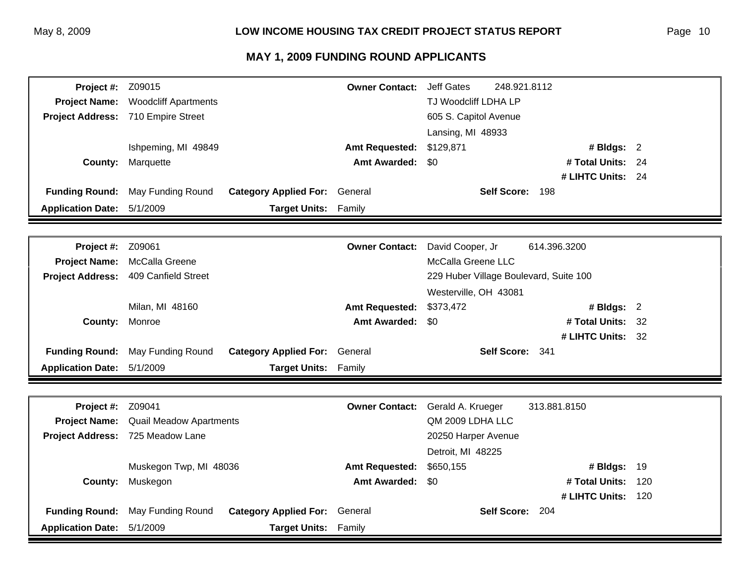| Project #:               | Z09015                             |                              | <b>Owner Contact:</b> | <b>Jeff Gates</b>                      | 248.921.8112       |     |
|--------------------------|------------------------------------|------------------------------|-----------------------|----------------------------------------|--------------------|-----|
| <b>Project Name:</b>     | <b>Woodcliff Apartments</b>        |                              |                       | TJ Woodcliff LDHA LP                   |                    |     |
|                          | Project Address: 710 Empire Street |                              |                       | 605 S. Capitol Avenue                  |                    |     |
|                          |                                    |                              |                       | Lansing, MI 48933                      |                    |     |
|                          | Ishpeming, MI 49849                |                              | <b>Amt Requested:</b> | \$129,871                              | # Bldgs: $2$       |     |
| County:                  | Marquette                          |                              | <b>Amt Awarded:</b>   | \$0                                    | # Total Units: 24  |     |
|                          |                                    |                              |                       |                                        | # LIHTC Units: 24  |     |
| <b>Funding Round:</b>    | May Funding Round                  | <b>Category Applied For:</b> | General               | Self Score: 198                        |                    |     |
| <b>Application Date:</b> | 5/1/2009                           | <b>Target Units:</b>         | Family                |                                        |                    |     |
|                          |                                    |                              |                       |                                        |                    |     |
| Project #:               | Z09061                             |                              | <b>Owner Contact:</b> | David Cooper, Jr                       | 614.396.3200       |     |
| <b>Project Name:</b>     | McCalla Greene                     |                              |                       | McCalla Greene LLC                     |                    |     |
| <b>Project Address:</b>  | 409 Canfield Street                |                              |                       | 229 Huber Village Boulevard, Suite 100 |                    |     |
|                          |                                    |                              |                       | Westerville, OH 43081                  |                    |     |
|                          | Milan, MI 48160                    |                              | <b>Amt Requested:</b> | \$373,472                              | # Bldgs: 2         |     |
| <b>County:</b>           | Monroe                             |                              | <b>Amt Awarded:</b>   | \$0                                    | # Total Units: 32  |     |
|                          |                                    |                              |                       |                                        | # LIHTC Units: 32  |     |
| <b>Funding Round:</b>    | May Funding Round                  | <b>Category Applied For:</b> | General               | Self Score: 341                        |                    |     |
| <b>Application Date:</b> | 5/1/2009                           | <b>Target Units:</b>         | Family                |                                        |                    |     |
|                          |                                    |                              |                       |                                        |                    |     |
| Project #:               | Z09041                             |                              | <b>Owner Contact:</b> | Gerald A. Krueger                      | 313.881.8150       |     |
| <b>Project Name:</b>     | <b>Quail Meadow Apartments</b>     |                              |                       | QM 2009 LDHA LLC                       |                    |     |
| <b>Project Address:</b>  | 725 Meadow Lane                    |                              |                       | 20250 Harper Avenue                    |                    |     |
|                          |                                    |                              |                       | Detroit, MI 48225                      |                    |     |
|                          | Muskegon Twp, MI 48036             |                              | <b>Amt Requested:</b> | \$650,155                              | # Bldgs: 19        |     |
| County:                  | Muskegon                           |                              | <b>Amt Awarded:</b>   | \$0                                    | # Total Units:     | 120 |
|                          |                                    |                              |                       |                                        | # LIHTC Units: 120 |     |
| <b>Funding Round:</b>    | May Funding Round                  | <b>Category Applied For:</b> | General               | Self Score: 204                        |                    |     |
| <b>Application Date:</b> | 5/1/2009                           | <b>Target Units:</b>         | Family                |                                        |                    |     |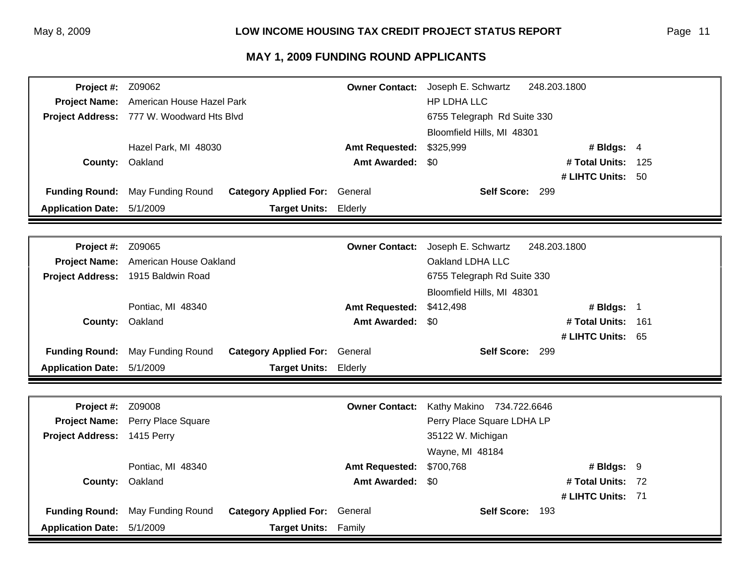| <b>Project #: Z09062</b> |                                           |                                               | <b>Owner Contact:</b> | Joseph E. Schwartz          | 248.203.1800       |     |
|--------------------------|-------------------------------------------|-----------------------------------------------|-----------------------|-----------------------------|--------------------|-----|
| <b>Project Name:</b>     | American House Hazel Park                 |                                               |                       | HP LDHA LLC                 |                    |     |
|                          | Project Address: 777 W. Woodward Hts Blvd |                                               |                       | 6755 Telegraph Rd Suite 330 |                    |     |
|                          |                                           |                                               |                       | Bloomfield Hills, MI 48301  |                    |     |
|                          |                                           | Hazel Park, MI 48030<br><b>Amt Requested:</b> |                       | \$325,999                   | # Bldgs: 4         |     |
|                          | <b>County: Oakland</b>                    |                                               | <b>Amt Awarded:</b>   | \$0                         | # Total Units: 125 |     |
|                          |                                           |                                               |                       |                             | # LIHTC Units: 50  |     |
| <b>Funding Round:</b>    | May Funding Round                         | <b>Category Applied For: General</b>          |                       | Self Score: 299             |                    |     |
| <b>Application Date:</b> | 5/1/2009                                  | <b>Target Units:</b>                          | Elderly               |                             |                    |     |
|                          |                                           |                                               |                       |                             |                    |     |
| <b>Project #: Z09065</b> |                                           |                                               | <b>Owner Contact:</b> | Joseph E. Schwartz          | 248.203.1800       |     |
| <b>Project Name:</b>     | American House Oakland                    |                                               |                       | Oakland LDHA LLC            |                    |     |
|                          | Project Address: 1915 Baldwin Road        |                                               |                       | 6755 Telegraph Rd Suite 330 |                    |     |
|                          |                                           |                                               |                       | Bloomfield Hills, MI 48301  |                    |     |
|                          | Pontiac, MI 48340                         |                                               | <b>Amt Requested:</b> | \$412,498                   | # Bldgs: 1         |     |
| <b>County:</b>           | Oakland                                   |                                               | <b>Amt Awarded:</b>   | -\$0                        | # Total Units:     | 161 |
|                          |                                           |                                               |                       |                             | # LIHTC Units: 65  |     |
| <b>Funding Round:</b>    | May Funding Round                         | <b>Category Applied For: General</b>          |                       | Self Score: 299             |                    |     |
| <b>Application Date:</b> | 5/1/2009                                  | <b>Target Units:</b>                          | Elderly               |                             |                    |     |
|                          |                                           |                                               |                       |                             |                    |     |
| Project #:               | Z09008                                    |                                               | <b>Owner Contact:</b> | Kathy Makino 734.722.6646   |                    |     |
| <b>Project Name:</b>     | Perry Place Square                        |                                               |                       | Perry Place Square LDHA LP  |                    |     |
| <b>Project Address:</b>  | 1415 Perry                                |                                               |                       | 35122 W. Michigan           |                    |     |
|                          |                                           |                                               |                       | Wayne, MI 48184             |                    |     |
|                          | Pontiac, MI 48340                         |                                               | <b>Amt Requested:</b> | \$700,768                   | # Bldgs: 9         |     |
| <b>County:</b>           | Oakland                                   |                                               | Amt Awarded: \$0      |                             | # Total Units: 72  |     |
|                          |                                           |                                               |                       |                             | # LIHTC Units: 71  |     |
| <b>Funding Round:</b>    | May Funding Round                         | <b>Category Applied For: General</b>          |                       | Self Score: 193             |                    |     |
| <b>Application Date:</b> | 5/1/2009                                  | <b>Target Units:</b>                          | Family                |                             |                    |     |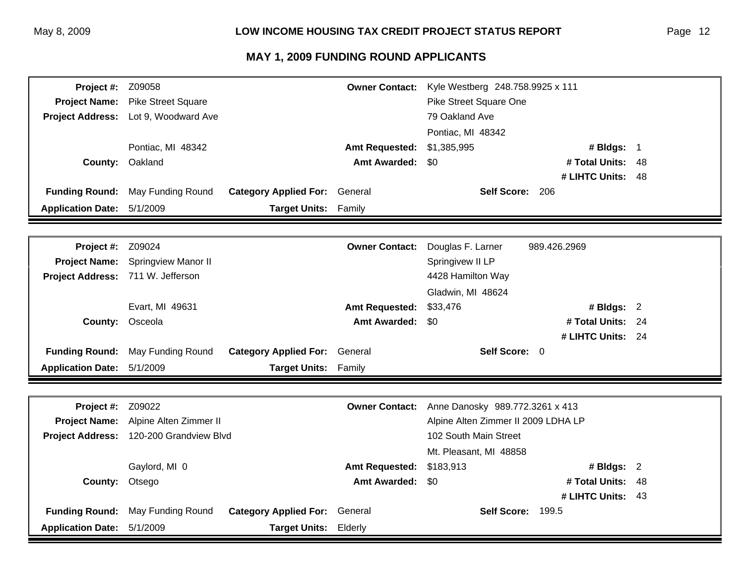| Project #:               | Z09058                    |                              | <b>Owner Contact:</b> | Kyle Westberg 248.758.9925 x 111    |                   |      |
|--------------------------|---------------------------|------------------------------|-----------------------|-------------------------------------|-------------------|------|
| <b>Project Name:</b>     | <b>Pike Street Square</b> |                              |                       | Pike Street Square One              |                   |      |
| <b>Project Address:</b>  | Lot 9, Woodward Ave       |                              |                       | 79 Oakland Ave                      |                   |      |
|                          |                           |                              |                       | Pontiac, MI 48342                   |                   |      |
|                          | Pontiac, MI 48342         |                              | <b>Amt Requested:</b> | \$1,385,995                         | # Bldgs: 1        |      |
| County:                  | Oakland                   |                              | <b>Amt Awarded:</b>   | \$0                                 | # Total Units:    | 48   |
|                          |                           |                              |                       |                                     | # LIHTC Units: 48 |      |
| <b>Funding Round:</b>    | May Funding Round         | <b>Category Applied For:</b> | General               | Self Score: 206                     |                   |      |
| <b>Application Date:</b> | 5/1/2009                  | <b>Target Units:</b>         | Family                |                                     |                   |      |
|                          |                           |                              |                       |                                     |                   |      |
|                          |                           |                              |                       |                                     |                   |      |
| Project #:               | Z09024                    |                              | <b>Owner Contact:</b> | Douglas F. Larner                   | 989.426.2969      |      |
| <b>Project Name:</b>     | Springview Manor II       |                              |                       | Springivew II LP                    |                   |      |
| <b>Project Address:</b>  | 711 W. Jefferson          |                              |                       | 4428 Hamilton Way                   |                   |      |
|                          |                           |                              |                       | Gladwin, MI 48624                   |                   |      |
|                          | Evart, MI 49631           |                              | <b>Amt Requested:</b> | \$33,476                            | # Bldgs: 2        |      |
| County:                  | Osceola                   |                              | <b>Amt Awarded:</b>   | \$0                                 | # Total Units:    | - 24 |
|                          |                           |                              |                       |                                     | # LIHTC Units: 24 |      |
| <b>Funding Round:</b>    | May Funding Round         | <b>Category Applied For:</b> | General               | Self Score: 0                       |                   |      |
| <b>Application Date:</b> | 5/1/2009                  | <b>Target Units:</b>         | Family                |                                     |                   |      |
|                          |                           |                              |                       |                                     |                   |      |
|                          |                           |                              |                       |                                     |                   |      |
| Project #:               | Z09022                    |                              | <b>Owner Contact:</b> | Anne Danosky 989.772.3261 x 413     |                   |      |
| <b>Project Name:</b>     | Alpine Alten Zimmer II    |                              |                       | Alpine Alten Zimmer II 2009 LDHA LP |                   |      |
| <b>Project Address:</b>  |                           | 120-200 Grandview Blvd       |                       | 102 South Main Street               |                   |      |
|                          |                           |                              |                       | Mt. Pleasant, MI 48858              |                   |      |
|                          | Gaylord, MI 0             |                              | <b>Amt Requested:</b> | \$183,913                           | # Bldgs: 2        |      |
| County:                  | Otsego                    |                              | <b>Amt Awarded:</b>   | \$0                                 | # Total Units:    | 48   |
|                          |                           |                              |                       |                                     | # LIHTC Units: 43 |      |
| <b>Funding Round:</b>    | May Funding Round         | <b>Category Applied For:</b> | General               | Self Score: 199.5                   |                   |      |
| <b>Application Date:</b> | 5/1/2009                  | Target Units: Elderly        |                       |                                     |                   |      |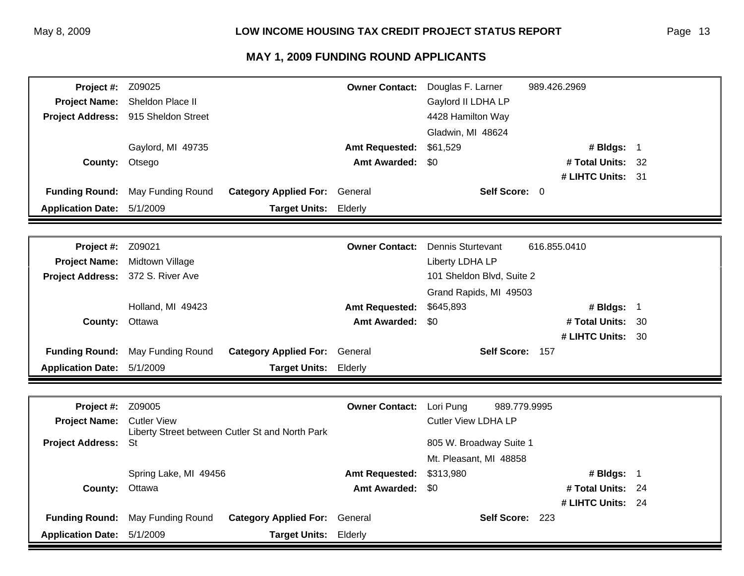| Project #:               | Z09025                                                    | <b>Owner Contact:</b> | Douglas F. Larner          | 989.426.2969      |      |
|--------------------------|-----------------------------------------------------------|-----------------------|----------------------------|-------------------|------|
| <b>Project Name:</b>     | Sheldon Place II                                          |                       | Gaylord II LDHA LP         |                   |      |
| <b>Project Address:</b>  | 915 Sheldon Street                                        |                       | 4428 Hamilton Way          |                   |      |
|                          |                                                           |                       | Gladwin, MI 48624          |                   |      |
|                          | Gaylord, MI 49735                                         | <b>Amt Requested:</b> | \$61,529                   | # Bldgs: 1        |      |
| County:                  | Otsego                                                    | <b>Amt Awarded:</b>   | \$0                        | # Total Units: 32 |      |
|                          |                                                           |                       |                            | # LIHTC Units: 31 |      |
| <b>Funding Round:</b>    | May Funding Round<br><b>Category Applied For: General</b> |                       | Self Score: 0              |                   |      |
| <b>Application Date:</b> | 5/1/2009<br><b>Target Units:</b>                          | Elderly               |                            |                   |      |
|                          |                                                           |                       |                            |                   |      |
| Project #:               | Z09021                                                    | <b>Owner Contact:</b> | <b>Dennis Sturtevant</b>   | 616.855.0410      |      |
| <b>Project Name:</b>     | Midtown Village                                           |                       | Liberty LDHA LP            |                   |      |
| <b>Project Address:</b>  | 372 S. River Ave                                          |                       | 101 Sheldon Blvd, Suite 2  |                   |      |
|                          |                                                           |                       | Grand Rapids, MI 49503     |                   |      |
|                          | Holland, MI 49423                                         | <b>Amt Requested:</b> | \$645,893                  | # Bldgs: 1        |      |
| County:                  | Ottawa                                                    | <b>Amt Awarded:</b>   | \$0                        | # Total Units:    | - 30 |
|                          |                                                           |                       |                            | # LIHTC Units: 30 |      |
| <b>Funding Round:</b>    | May Funding Round<br><b>Category Applied For:</b>         | General               | Self Score: 157            |                   |      |
| <b>Application Date:</b> | 5/1/2009<br><b>Target Units: Elderly</b>                  |                       |                            |                   |      |
|                          |                                                           |                       |                            |                   |      |
| Project #:               | Z09005                                                    | <b>Owner Contact:</b> | Lori Pung<br>989.779.9995  |                   |      |
| <b>Project Name:</b>     | <b>Cutler View</b>                                        |                       | <b>Cutler View LDHA LP</b> |                   |      |
|                          | Liberty Street between Cutler St and North Park           |                       |                            |                   |      |
| <b>Project Address:</b>  | St                                                        |                       | 805 W. Broadway Suite 1    |                   |      |
|                          |                                                           |                       | Mt. Pleasant, MI 48858     |                   |      |
|                          | Spring Lake, MI 49456                                     | <b>Amt Requested:</b> | \$313,980                  | # Bldgs: 1        |      |
| County:                  | Ottawa                                                    | <b>Amt Awarded:</b>   | \$0                        | # Total Units: 24 |      |
|                          |                                                           |                       |                            | # LIHTC Units: 24 |      |
| <b>Funding Round:</b>    | May Funding Round<br><b>Category Applied For:</b> General |                       | Self Score: 223            |                   |      |
| <b>Application Date:</b> | 5/1/2009<br><b>Target Units:</b>                          | Elderly               |                            |                   |      |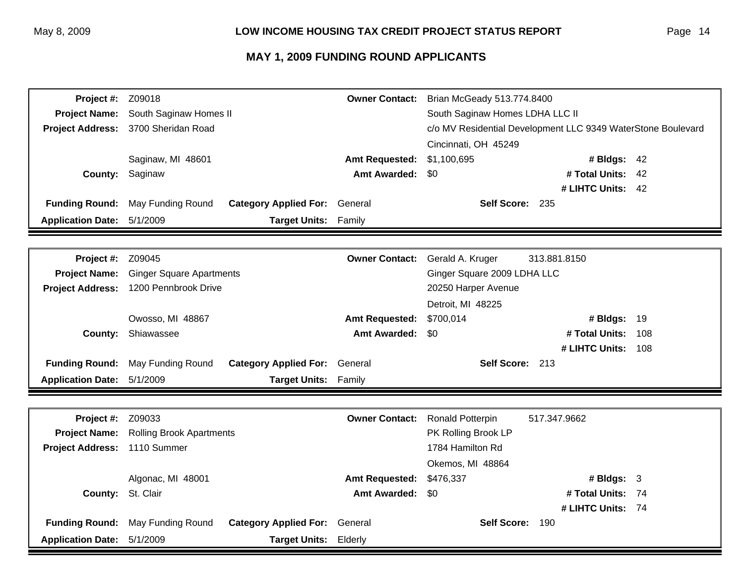| Project #:               | Z09018                          |                              | <b>Owner Contact:</b>       | Brian McGeady 513.774.8400                                   |                   |       |
|--------------------------|---------------------------------|------------------------------|-----------------------------|--------------------------------------------------------------|-------------------|-------|
| <b>Project Name:</b>     | South Saginaw Homes II          |                              |                             | South Saginaw Homes LDHA LLC II                              |                   |       |
| <b>Project Address:</b>  | 3700 Sheridan Road              |                              |                             | c/o MV Residential Development LLC 9349 WaterStone Boulevard |                   |       |
|                          |                                 |                              |                             | Cincinnati, OH 45249                                         |                   |       |
|                          | Saginaw, MI 48601               |                              | <b>Amt Requested:</b>       | \$1,100,695                                                  | # Bldgs: 42       |       |
| County:                  | Saginaw                         |                              | <b>Amt Awarded:</b>         | \$0                                                          | # Total Units:    | 42    |
|                          |                                 |                              |                             |                                                              | # LIHTC Units: 42 |       |
| <b>Funding Round:</b>    | May Funding Round               | <b>Category Applied For:</b> | General                     | Self Score: 235                                              |                   |       |
| <b>Application Date:</b> | 5/1/2009                        | <b>Target Units:</b>         | Family                      |                                                              |                   |       |
|                          |                                 |                              |                             |                                                              |                   |       |
| Project #:               | Z09045                          |                              | <b>Owner Contact:</b>       | Gerald A. Kruger                                             | 313.881.8150      |       |
| <b>Project Name:</b>     | <b>Ginger Square Apartments</b> |                              | Ginger Square 2009 LDHA LLC |                                                              |                   |       |
| <b>Project Address:</b>  | 1200 Pennbrook Drive            |                              |                             | 20250 Harper Avenue                                          |                   |       |
|                          |                                 |                              | Detroit, MI 48225           |                                                              |                   |       |
|                          | Owosso, MI 48867                |                              | <b>Amt Requested:</b>       | \$700,014                                                    | # Bldgs: 19       |       |
| County:                  | Shiawassee                      |                              | <b>Amt Awarded:</b>         | \$0                                                          | # Total Units:    | 108   |
|                          |                                 |                              |                             |                                                              | # LIHTC Units:    | - 108 |
| <b>Funding Round:</b>    | May Funding Round               | <b>Category Applied For:</b> | General                     | Self Score: 213                                              |                   |       |
| <b>Application Date:</b> | 5/1/2009                        | <b>Target Units:</b>         | Family                      |                                                              |                   |       |
|                          |                                 |                              |                             |                                                              |                   |       |
| Project #:               | Z09033                          |                              | <b>Owner Contact:</b>       | Ronald Potterpin                                             | 517.347.9662      |       |
| <b>Project Name:</b>     | <b>Rolling Brook Apartments</b> |                              |                             | PK Rolling Brook LP                                          |                   |       |
| <b>Project Address:</b>  | 1110 Summer                     |                              |                             | 1784 Hamilton Rd                                             |                   |       |
|                          |                                 |                              |                             | Okemos, MI 48864                                             |                   |       |
|                          | Algonac, MI 48001               |                              | <b>Amt Requested:</b>       | \$476,337                                                    | # Bldgs: 3        |       |
| County:                  | St. Clair                       |                              | <b>Amt Awarded:</b>         | \$0                                                          | # Total Units:    | - 74  |
|                          |                                 |                              |                             |                                                              | # LIHTC Units: 74 |       |
| <b>Funding Round:</b>    | May Funding Round               | <b>Category Applied For:</b> | General                     | Self Score: 190                                              |                   |       |
| <b>Application Date:</b> | 5/1/2009                        | <b>Target Units:</b>         | Elderly                     |                                                              |                   |       |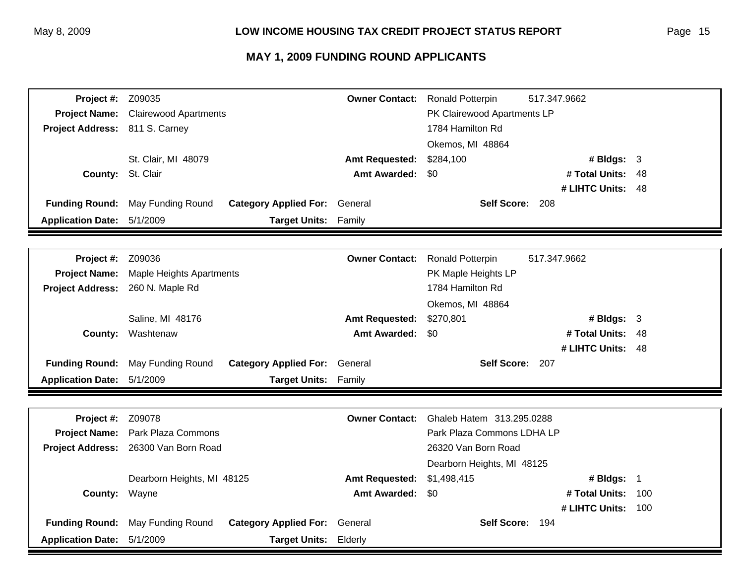| Project #:                     | Z09035                       |                              | <b>Owner Contact:</b> | <b>Ronald Potterpin</b>     | 517.347.9662      |      |
|--------------------------------|------------------------------|------------------------------|-----------------------|-----------------------------|-------------------|------|
| <b>Project Name:</b>           | <b>Clairewood Apartments</b> |                              |                       | PK Clairewood Apartments LP |                   |      |
| Project Address: 811 S. Carney |                              |                              |                       | 1784 Hamilton Rd            |                   |      |
|                                |                              |                              |                       | Okemos, MI 48864            |                   |      |
|                                | St. Clair, MI 48079          |                              | <b>Amt Requested:</b> | \$284,100                   | # Bldgs: $3$      |      |
| County:                        | St. Clair                    |                              | <b>Amt Awarded:</b>   | \$0                         | # Total Units:    | 48   |
|                                |                              |                              |                       |                             | # LIHTC Units:    | - 48 |
| <b>Funding Round:</b>          | May Funding Round            | <b>Category Applied For:</b> | General               | Self Score: 208             |                   |      |
| <b>Application Date:</b>       | 5/1/2009                     | <b>Target Units:</b>         | Family                |                             |                   |      |
|                                |                              |                              |                       |                             |                   |      |
| Project #:                     | Z09036                       |                              | <b>Owner Contact:</b> | <b>Ronald Potterpin</b>     | 517.347.9662      |      |
| <b>Project Name:</b>           | Maple Heights Apartments     |                              |                       | PK Maple Heights LP         |                   |      |
| <b>Project Address:</b>        | 260 N. Maple Rd              |                              |                       | 1784 Hamilton Rd            |                   |      |
|                                |                              |                              |                       | Okemos, MI 48864            |                   |      |
|                                | Saline, MI 48176             |                              | <b>Amt Requested:</b> | \$270,801                   | # Bldgs: $3$      |      |
| County:                        | Washtenaw                    |                              | <b>Amt Awarded:</b>   | \$0                         | # Total Units:    | -48  |
|                                |                              |                              |                       |                             | # LIHTC Units: 48 |      |
| <b>Funding Round:</b>          | May Funding Round            | <b>Category Applied For:</b> | General               | Self Score: 207             |                   |      |
| <b>Application Date:</b>       | 5/1/2009                     | Target Units: Family         |                       |                             |                   |      |
|                                |                              |                              |                       |                             |                   |      |
| Project #:                     | Z09078                       |                              | <b>Owner Contact:</b> | Ghaleb Hatem 313.295.0288   |                   |      |
| <b>Project Name:</b>           | Park Plaza Commons           |                              |                       | Park Plaza Commons LDHA LP  |                   |      |
| <b>Project Address:</b>        | 26300 Van Born Road          |                              |                       | 26320 Van Born Road         |                   |      |
|                                |                              |                              |                       | Dearborn Heights, MI 48125  |                   |      |
|                                | Dearborn Heights, MI 48125   |                              | <b>Amt Requested:</b> | \$1,498,415                 | # Bldgs: 1        |      |
| County:                        | Wayne                        |                              | <b>Amt Awarded:</b>   | \$0                         | # Total Units:    | 100  |
|                                |                              |                              |                       |                             | # LIHTC Units:    | 100  |
| <b>Funding Round:</b>          | May Funding Round            | <b>Category Applied For:</b> | General               | Self Score: 194             |                   |      |
| <b>Application Date:</b>       | 5/1/2009                     | <b>Target Units:</b>         | Elderly               |                             |                   |      |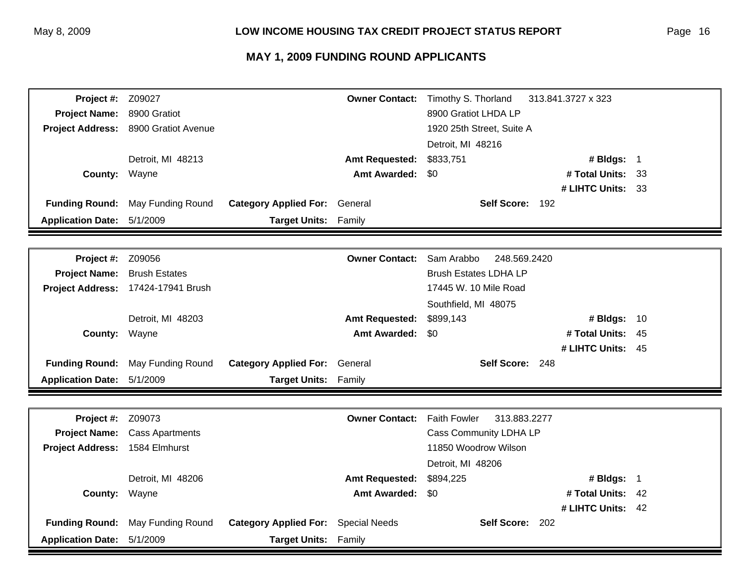| Project #:               | Z09027                 |                                      | <b>Owner Contact:</b> | Timothy S. Thorland                 | 313.841.3727 x 323 |      |
|--------------------------|------------------------|--------------------------------------|-----------------------|-------------------------------------|--------------------|------|
| <b>Project Name:</b>     | 8900 Gratiot           |                                      |                       | 8900 Gratiot LHDA LP                |                    |      |
| <b>Project Address:</b>  | 8900 Gratiot Avenue    |                                      |                       | 1920 25th Street, Suite A           |                    |      |
|                          |                        |                                      |                       | Detroit, MI 48216                   |                    |      |
|                          | Detroit, MI 48213      |                                      | <b>Amt Requested:</b> | \$833,751                           | # Bldgs: 1         |      |
| County: Wayne            |                        |                                      | <b>Amt Awarded:</b>   | \$0                                 | # Total Units:     | - 33 |
|                          |                        |                                      |                       |                                     | # LIHTC Units: 33  |      |
| <b>Funding Round:</b>    | May Funding Round      | <b>Category Applied For:</b>         | General               | Self Score: 192                     |                    |      |
| <b>Application Date:</b> | 5/1/2009               | <b>Target Units:</b>                 | Family                |                                     |                    |      |
|                          |                        |                                      |                       |                                     |                    |      |
| Project #:               | Z09056                 |                                      | <b>Owner Contact:</b> | Sam Arabbo<br>248.569.2420          |                    |      |
| <b>Project Name:</b>     | <b>Brush Estates</b>   |                                      |                       | <b>Brush Estates LDHA LP</b>        |                    |      |
| <b>Project Address:</b>  | 17424-17941 Brush      |                                      |                       | 17445 W. 10 Mile Road               |                    |      |
|                          |                        |                                      |                       | Southfield, MI 48075                |                    |      |
|                          | Detroit, MI 48203      |                                      | <b>Amt Requested:</b> | \$899,143                           | # Bldgs:           | 10   |
| <b>County:</b>           | Wayne                  |                                      | <b>Amt Awarded:</b>   | \$0                                 | # Total Units:     | -45  |
|                          |                        |                                      |                       |                                     | # LIHTC Units: 45  |      |
| <b>Funding Round:</b>    | May Funding Round      | <b>Category Applied For: General</b> |                       | Self Score: 248                     |                    |      |
| <b>Application Date:</b> | 5/1/2009               | Target Units: Family                 |                       |                                     |                    |      |
|                          |                        |                                      |                       |                                     |                    |      |
| Project #:               | Z09073                 |                                      | <b>Owner Contact:</b> | <b>Faith Fowler</b><br>313.883.2277 |                    |      |
| <b>Project Name:</b>     | <b>Cass Apartments</b> |                                      |                       | Cass Community LDHA LP              |                    |      |
| <b>Project Address:</b>  | 1584 Elmhurst          |                                      |                       | 11850 Woodrow Wilson                |                    |      |
|                          |                        |                                      |                       | Detroit, MI 48206                   |                    |      |
|                          | Detroit, MI 48206      |                                      | <b>Amt Requested:</b> | \$894,225                           | # Bldgs: $1$       |      |
| County:                  | Wayne                  |                                      | <b>Amt Awarded:</b>   | \$0                                 | # Total Units: 42  |      |
|                          |                        |                                      |                       |                                     | # LIHTC Units: 42  |      |
| <b>Funding Round:</b>    | May Funding Round      | <b>Category Applied For:</b>         | <b>Special Needs</b>  | Self Score: 202                     |                    |      |
| <b>Application Date:</b> | 5/1/2009               | <b>Target Units:</b>                 | Family                |                                     |                    |      |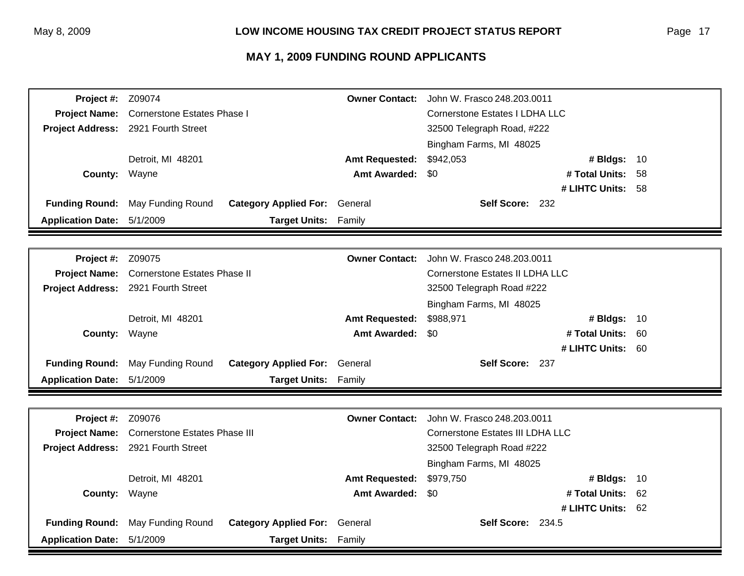| Project #:               | Z09074                               |                                      | <b>Owner Contact:</b>           | John W. Frasco 248.203.0011             |                |      |
|--------------------------|--------------------------------------|--------------------------------------|---------------------------------|-----------------------------------------|----------------|------|
| <b>Project Name:</b>     | <b>Cornerstone Estates Phase I</b>   |                                      |                                 | <b>Cornerstone Estates I LDHA LLC</b>   |                |      |
| <b>Project Address:</b>  | 2921 Fourth Street                   |                                      |                                 | 32500 Telegraph Road, #222              |                |      |
|                          |                                      |                                      |                                 | Bingham Farms, MI 48025                 |                |      |
|                          | Detroit, MI 48201                    | <b>Amt Requested:</b>                |                                 | \$942,053                               | # Bldgs: 10    |      |
| County:                  | Wayne                                |                                      | <b>Amt Awarded:</b>             | \$0                                     | # Total Units: | 58   |
|                          |                                      |                                      |                                 |                                         | # LIHTC Units: | - 58 |
| <b>Funding Round:</b>    | May Funding Round                    | <b>Category Applied For:</b>         | General                         | Self Score: 232                         |                |      |
| <b>Application Date:</b> | 5/1/2009                             | Target Units: Family                 |                                 |                                         |                |      |
|                          |                                      |                                      |                                 |                                         |                |      |
| Project #:               | Z09075                               |                                      | <b>Owner Contact:</b>           | John W. Frasco 248.203.0011             |                |      |
| <b>Project Name:</b>     | <b>Cornerstone Estates Phase II</b>  |                                      | Cornerstone Estates II LDHA LLC |                                         |                |      |
| <b>Project Address:</b>  | 2921 Fourth Street                   |                                      |                                 | 32500 Telegraph Road #222               |                |      |
|                          |                                      |                                      | Bingham Farms, MI 48025         |                                         |                |      |
|                          | Detroit, MI 48201                    |                                      | <b>Amt Requested:</b>           | \$988,971                               | # Bldgs:       | - 10 |
| <b>County:</b>           | Wayne                                |                                      | <b>Amt Awarded:</b>             | \$0                                     | # Total Units: | 60   |
|                          |                                      |                                      |                                 |                                         | # LIHTC Units: | - 60 |
| <b>Funding Round:</b>    | May Funding Round                    | <b>Category Applied For: General</b> |                                 | Self Score: 237                         |                |      |
| <b>Application Date:</b> | 5/1/2009                             | Target Units: Family                 |                                 |                                         |                |      |
|                          |                                      |                                      |                                 |                                         |                |      |
| Project #:               | Z09076                               |                                      | <b>Owner Contact:</b>           | John W. Frasco 248, 203, 0011           |                |      |
| <b>Project Name:</b>     | <b>Cornerstone Estates Phase III</b> |                                      |                                 | <b>Cornerstone Estates III LDHA LLC</b> |                |      |
| <b>Project Address:</b>  | 2921 Fourth Street                   |                                      |                                 | 32500 Telegraph Road #222               |                |      |
|                          |                                      |                                      |                                 | Bingham Farms, MI 48025                 |                |      |
|                          | Detroit, MI 48201                    |                                      | <b>Amt Requested:</b>           | \$979,750                               | # Bldgs:       | 10   |
| County:                  | Wayne                                |                                      | <b>Amt Awarded:</b>             | \$0                                     | # Total Units: | 62   |
|                          |                                      |                                      |                                 |                                         | # LIHTC Units: | - 62 |
| <b>Funding Round:</b>    | May Funding Round                    | <b>Category Applied For:</b>         | General                         | <b>Self Score: 234.5</b>                |                |      |
| <b>Application Date:</b> | 5/1/2009                             | Target Units: Family                 |                                 |                                         |                |      |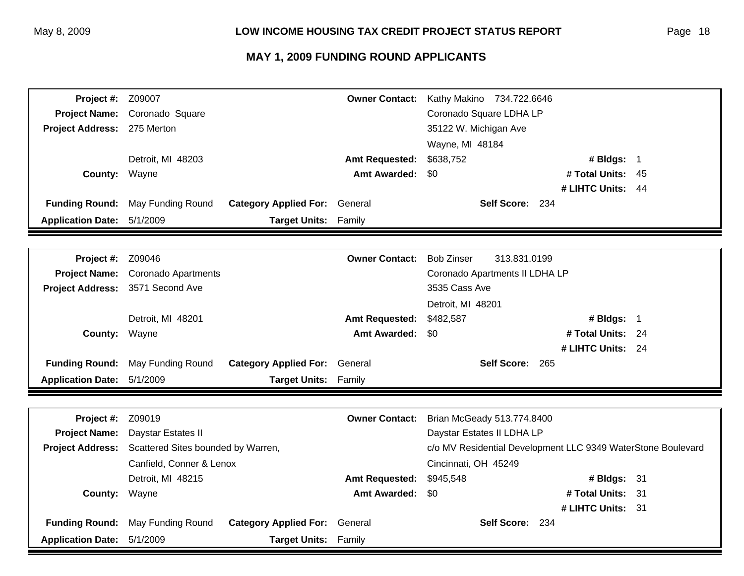| Project #:                 | Z09007                             |                              | <b>Owner Contact:</b> | Kathy Makino 734.722.6646                                    |                   |      |
|----------------------------|------------------------------------|------------------------------|-----------------------|--------------------------------------------------------------|-------------------|------|
| <b>Project Name:</b>       | Coronado Square                    |                              |                       | Coronado Square LDHA LP                                      |                   |      |
| <b>Project Address:</b>    | 275 Merton                         |                              |                       | 35122 W. Michigan Ave                                        |                   |      |
|                            |                                    |                              |                       | Wayne, MI 48184                                              |                   |      |
|                            | Detroit, MI 48203                  |                              | <b>Amt Requested:</b> | \$638,752                                                    | # Bldgs: 1        |      |
| <b>County:</b>             | Wayne                              |                              | <b>Amt Awarded:</b>   | \$0                                                          | # Total Units:    | - 45 |
|                            |                                    |                              |                       |                                                              | # LIHTC Units: 44 |      |
| <b>Funding Round:</b>      | May Funding Round                  | <b>Category Applied For:</b> | General               | Self Score: 234                                              |                   |      |
| <b>Application Date:</b>   | 5/1/2009                           | <b>Target Units: Family</b>  |                       |                                                              |                   |      |
|                            |                                    |                              |                       |                                                              |                   |      |
| Project #:                 | Z09046                             |                              | <b>Owner Contact:</b> | <b>Bob Zinser</b><br>313.831.0199                            |                   |      |
| <b>Project Name:</b>       | <b>Coronado Apartments</b>         |                              |                       | Coronado Apartments II LDHA LP                               |                   |      |
| <b>Project Address:</b>    | 3571 Second Ave                    |                              |                       | 3535 Cass Ave                                                |                   |      |
|                            |                                    |                              |                       | Detroit, MI 48201                                            |                   |      |
|                            | Detroit, MI 48201                  |                              | <b>Amt Requested:</b> | \$482,587                                                    | # Bldgs: 1        |      |
| <b>County:</b>             | Wayne                              |                              | <b>Amt Awarded:</b>   | \$0                                                          | # Total Units: 24 |      |
|                            |                                    |                              |                       |                                                              | # LIHTC Units: 24 |      |
| <b>Funding Round:</b>      | May Funding Round                  | <b>Category Applied For:</b> | General               | Self Score: 265                                              |                   |      |
| <b>Application Date:</b>   | 5/1/2009                           | <b>Target Units:</b>         | Family                |                                                              |                   |      |
|                            |                                    |                              |                       |                                                              |                   |      |
|                            |                                    |                              |                       |                                                              |                   |      |
| Project #:                 | Z09019                             |                              | <b>Owner Contact:</b> | Brian McGeady 513.774.8400                                   |                   |      |
| <b>Project Name:</b>       | Daystar Estates II                 |                              |                       | Daystar Estates II LDHA LP                                   |                   |      |
| <b>Project Address:</b>    | Scattered Sites bounded by Warren, |                              |                       | c/o MV Residential Development LLC 9349 WaterStone Boulevard |                   |      |
|                            | Canfield, Conner & Lenox           |                              |                       | Cincinnati, OH 45249                                         |                   |      |
|                            | Detroit, MI 48215                  |                              | <b>Amt Requested:</b> | \$945,548                                                    | # Bldgs: 31       |      |
| County:                    | Wayne                              |                              | <b>Amt Awarded:</b>   | \$0                                                          | # Total Units: 31 |      |
|                            |                                    |                              |                       |                                                              | # LIHTC Units: 31 |      |
| <b>Funding Round:</b>      | May Funding Round                  | <b>Category Applied For:</b> | General               | Self Score: 234                                              |                   |      |
| Application Date: 5/1/2009 |                                    | <b>Target Units: Family</b>  |                       |                                                              |                   |      |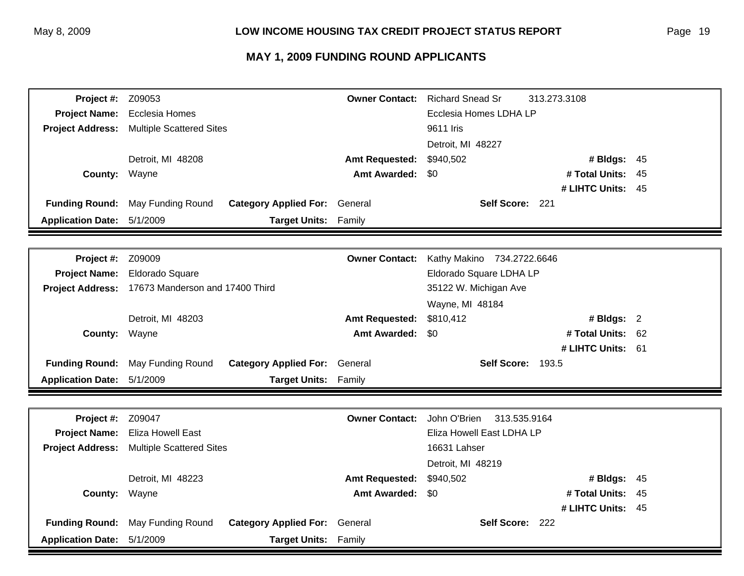| Project #:               | Z09053                          |                              | <b>Owner Contact:</b> | <b>Richard Snead Sr</b>      | 313.273.3108      |     |
|--------------------------|---------------------------------|------------------------------|-----------------------|------------------------------|-------------------|-----|
| <b>Project Name:</b>     | Ecclesia Homes                  |                              |                       | Ecclesia Homes LDHA LP       |                   |     |
| <b>Project Address:</b>  | <b>Multiple Scattered Sites</b> |                              |                       | 9611 Iris                    |                   |     |
|                          |                                 |                              |                       | Detroit, MI 48227            |                   |     |
|                          | Detroit, MI 48208               |                              | <b>Amt Requested:</b> | \$940,502                    | # Bldgs: 45       |     |
| County:                  | Wayne                           |                              | <b>Amt Awarded:</b>   | \$0                          | # Total Units:    | 45  |
|                          |                                 |                              |                       |                              | # LIHTC Units: 45 |     |
| <b>Funding Round:</b>    | May Funding Round               | <b>Category Applied For:</b> | General               | Self Score: 221              |                   |     |
| <b>Application Date:</b> | 5/1/2009                        | <b>Target Units:</b>         | Family                |                              |                   |     |
|                          |                                 |                              |                       |                              |                   |     |
| Project #:               | Z09009                          |                              | <b>Owner Contact:</b> | Kathy Makino 734.2722.6646   |                   |     |
| <b>Project Name:</b>     | Eldorado Square                 |                              |                       | Eldorado Square LDHA LP      |                   |     |
| <b>Project Address:</b>  | 17673 Manderson and 17400 Third |                              |                       | 35122 W. Michigan Ave        |                   |     |
|                          |                                 |                              |                       | Wayne, MI 48184              |                   |     |
|                          | Detroit, MI 48203               |                              | <b>Amt Requested:</b> | \$810,412                    | # Bldgs: 2        |     |
| <b>County:</b>           | Wayne                           |                              | <b>Amt Awarded:</b>   | \$0                          | # Total Units:    | 62  |
|                          |                                 |                              |                       |                              | # LIHTC Units: 61 |     |
| <b>Funding Round:</b>    | May Funding Round               | <b>Category Applied For:</b> | General               | Self Score: 193.5            |                   |     |
| <b>Application Date:</b> | 5/1/2009                        | <b>Target Units:</b>         | Family                |                              |                   |     |
|                          |                                 |                              |                       |                              |                   |     |
| Project #:               | Z09047                          |                              | <b>Owner Contact:</b> | John O'Brien<br>313.535.9164 |                   |     |
| <b>Project Name:</b>     | <b>Eliza Howell East</b>        |                              |                       | Eliza Howell East LDHA LP    |                   |     |
| <b>Project Address:</b>  | <b>Multiple Scattered Sites</b> |                              |                       | 16631 Lahser                 |                   |     |
|                          |                                 |                              |                       | Detroit, MI 48219            |                   |     |
|                          | Detroit, MI 48223               |                              | <b>Amt Requested:</b> | \$940,502                    | # Bldgs: $45$     |     |
| County:                  | Wayne                           |                              | <b>Amt Awarded:</b>   | \$0                          | # Total Units:    | -45 |
|                          |                                 |                              |                       |                              | # LIHTC Units: 45 |     |
| <b>Funding Round:</b>    | May Funding Round               | <b>Category Applied For:</b> | General               | Self Score: 222              |                   |     |
| <b>Application Date:</b> | 5/1/2009                        | <b>Target Units:</b>         | Family                |                              |                   |     |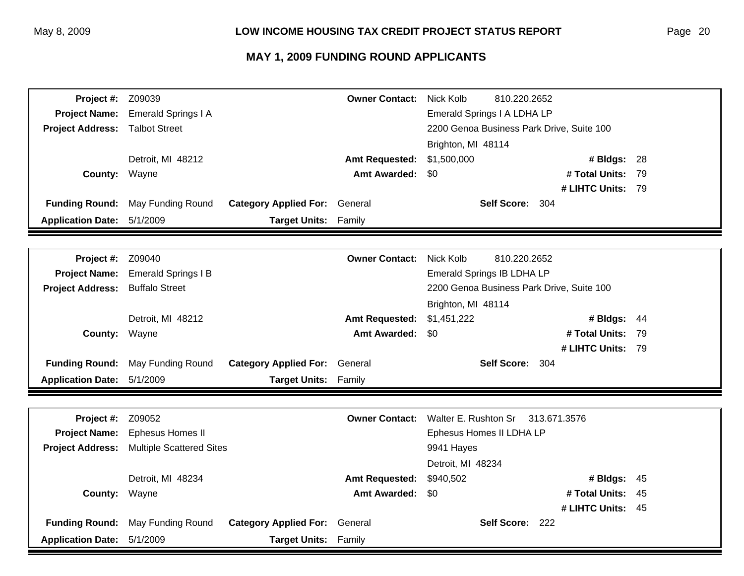| Project #:               | Z09039                          |                              | <b>Owner Contact:</b> | Nick Kolb<br>810.220.2652                 |                   |      |
|--------------------------|---------------------------------|------------------------------|-----------------------|-------------------------------------------|-------------------|------|
| <b>Project Name:</b>     | <b>Emerald Springs I A</b>      |                              |                       | Emerald Springs I A LDHA LP               |                   |      |
| <b>Project Address:</b>  | <b>Talbot Street</b>            |                              |                       | 2200 Genoa Business Park Drive, Suite 100 |                   |      |
|                          |                                 |                              |                       | Brighton, MI 48114                        |                   |      |
|                          | Detroit, MI 48212               |                              | <b>Amt Requested:</b> | \$1,500,000                               | # Bldgs: 28       |      |
| County:                  | Wayne                           |                              | <b>Amt Awarded:</b>   | \$0                                       | # Total Units:    | - 79 |
|                          |                                 |                              |                       |                                           | # LIHTC Units: 79 |      |
| <b>Funding Round:</b>    | May Funding Round               | <b>Category Applied For:</b> | General               | Self Score: 304                           |                   |      |
| <b>Application Date:</b> | 5/1/2009                        | <b>Target Units:</b>         | Family                |                                           |                   |      |
|                          |                                 |                              |                       |                                           |                   |      |
| Project #:               | Z09040                          |                              | <b>Owner Contact:</b> | Nick Kolb<br>810.220.2652                 |                   |      |
| <b>Project Name:</b>     | <b>Emerald Springs I B</b>      |                              |                       | Emerald Springs IB LDHA LP                |                   |      |
| <b>Project Address:</b>  | <b>Buffalo Street</b>           |                              |                       | 2200 Genoa Business Park Drive, Suite 100 |                   |      |
|                          |                                 |                              |                       | Brighton, MI 48114                        |                   |      |
|                          | Detroit, MI 48212               |                              | <b>Amt Requested:</b> | \$1,451,222                               | # Bldgs: 44       |      |
| County:                  | Wayne                           |                              | <b>Amt Awarded:</b>   | \$0                                       | # Total Units:    | -79  |
|                          |                                 |                              |                       |                                           | # LIHTC Units: 79 |      |
| <b>Funding Round:</b>    | May Funding Round               | <b>Category Applied For:</b> | General               | Self Score: 304                           |                   |      |
| <b>Application Date:</b> | 5/1/2009                        | Target Units: Family         |                       |                                           |                   |      |
|                          |                                 |                              |                       |                                           |                   |      |
| Project #:               | Z09052                          |                              | <b>Owner Contact:</b> | Walter E. Rushton Sr                      | 313.671.3576      |      |
| <b>Project Name:</b>     | Ephesus Homes II                |                              |                       | Ephesus Homes II LDHA LP                  |                   |      |
| <b>Project Address:</b>  | <b>Multiple Scattered Sites</b> |                              |                       | 9941 Hayes                                |                   |      |
|                          |                                 |                              |                       | Detroit, MI 48234                         |                   |      |
|                          | Detroit, MI 48234               |                              | <b>Amt Requested:</b> | \$940,502                                 | # Bldgs:          | 45   |
| County:                  | Wayne                           |                              | <b>Amt Awarded:</b>   | \$0                                       | # Total Units:    | 45   |
|                          |                                 |                              |                       |                                           | # LIHTC Units: 45 |      |
| <b>Funding Round:</b>    | May Funding Round               | <b>Category Applied For:</b> | General               | Self Score: 222                           |                   |      |
| <b>Application Date:</b> | 5/1/2009                        | <b>Target Units:</b>         | Family                |                                           |                   |      |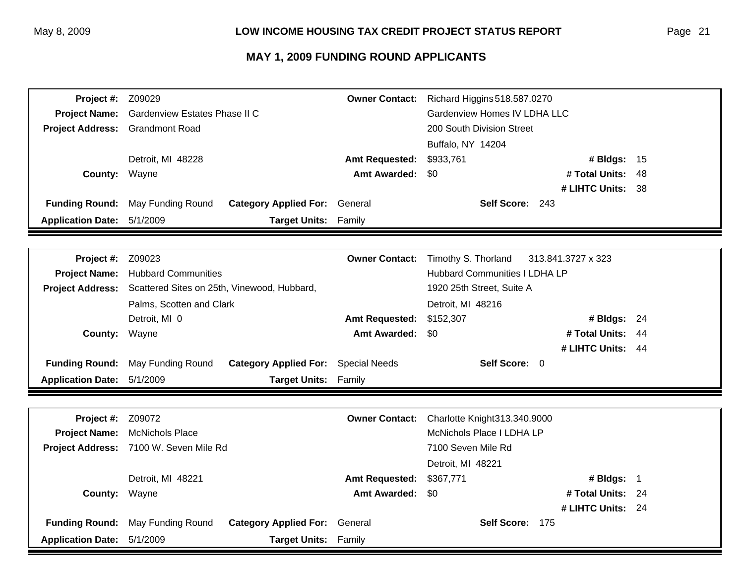| Project #:               | Z09029                                 |                                             | <b>Owner Contact:</b>                | Richard Higgins 518.587.0270 |                    |     |
|--------------------------|----------------------------------------|---------------------------------------------|--------------------------------------|------------------------------|--------------------|-----|
| <b>Project Name:</b>     | Gardenview Estates Phase II C          |                                             |                                      | Gardenview Homes IV LDHA LLC |                    |     |
| <b>Project Address:</b>  | <b>Grandmont Road</b>                  |                                             |                                      | 200 South Division Street    |                    |     |
|                          |                                        |                                             |                                      | Buffalo, NY 14204            |                    |     |
|                          | Detroit, MI 48228                      |                                             | <b>Amt Requested:</b>                | \$933,761                    | # Bldgs: 15        |     |
| County:                  | Wayne                                  |                                             | <b>Amt Awarded:</b>                  | \$0                          | # Total Units:     | 48  |
|                          |                                        |                                             |                                      |                              | # LIHTC Units: 38  |     |
| <b>Funding Round:</b>    | May Funding Round                      | <b>Category Applied For:</b> General        |                                      | Self Score: 243              |                    |     |
| <b>Application Date:</b> | 5/1/2009                               | <b>Target Units:</b>                        | Family                               |                              |                    |     |
|                          |                                        |                                             |                                      |                              |                    |     |
| Project #:               | Z09023                                 |                                             | <b>Owner Contact:</b>                | Timothy S. Thorland          | 313.841.3727 x 323 |     |
| <b>Project Name:</b>     | <b>Hubbard Communities</b>             |                                             | <b>Hubbard Communities I LDHA LP</b> |                              |                    |     |
| <b>Project Address:</b>  |                                        | Scattered Sites on 25th, Vinewood, Hubbard, |                                      | 1920 25th Street, Suite A    |                    |     |
|                          | Palms, Scotten and Clark               |                                             |                                      | Detroit, MI 48216            |                    |     |
|                          | Detroit, MI 0                          |                                             | <b>Amt Requested:</b>                | \$152,307                    | # Bldgs: 24        |     |
| County:                  | Wayne                                  |                                             | <b>Amt Awarded:</b>                  | \$0                          | # Total Units:     | -44 |
|                          |                                        |                                             |                                      |                              | # LIHTC Units: 44  |     |
| <b>Funding Round:</b>    | May Funding Round                      | <b>Category Applied For:</b> Special Needs  |                                      | Self Score: 0                |                    |     |
| <b>Application Date:</b> | 5/1/2009                               | <b>Target Units:</b>                        | Family                               |                              |                    |     |
|                          |                                        |                                             |                                      |                              |                    |     |
|                          |                                        |                                             |                                      |                              |                    |     |
| Project #:               | Z09072                                 |                                             | <b>Owner Contact:</b>                | Charlotte Knight313.340.9000 |                    |     |
| <b>Project Name:</b>     | <b>McNichols Place</b>                 |                                             |                                      | McNichols Place I LDHA LP    |                    |     |
|                          | Project Address: 7100 W. Seven Mile Rd |                                             |                                      | 7100 Seven Mile Rd           |                    |     |
|                          |                                        |                                             |                                      | Detroit, MI 48221            |                    |     |
|                          | Detroit, MI 48221                      |                                             | <b>Amt Requested:</b>                | \$367,771                    | # Bldgs: 1         |     |
| County:                  | Wayne                                  |                                             | <b>Amt Awarded:</b>                  | \$0                          | # Total Units: 24  |     |
|                          |                                        |                                             |                                      |                              | # LIHTC Units: 24  |     |
| <b>Funding Round:</b>    | May Funding Round                      | <b>Category Applied For:</b>                | General                              | Self Score: 175              |                    |     |
| <b>Application Date:</b> | 5/1/2009                               | <b>Target Units:</b>                        | Family                               |                              |                    |     |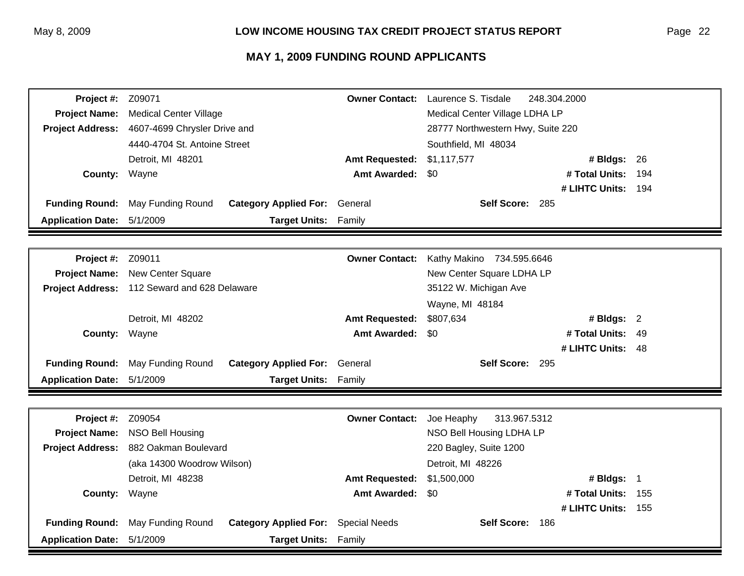| Project #:               | Z09071                        |                                      | <b>Owner Contact:</b>             | Laurence S. Tisdale            | 248.304.2000       |       |
|--------------------------|-------------------------------|--------------------------------------|-----------------------------------|--------------------------------|--------------------|-------|
| <b>Project Name:</b>     | <b>Medical Center Village</b> |                                      |                                   | Medical Center Village LDHA LP |                    |       |
| <b>Project Address:</b>  | 4607-4699 Chrysler Drive and  |                                      | 28777 Northwestern Hwy, Suite 220 |                                |                    |       |
|                          | 4440-4704 St. Antoine Street  |                                      |                                   | Southfield, MI 48034           |                    |       |
|                          | Detroit, MI 48201             | <b>Amt Requested:</b>                |                                   | \$1,117,577                    | # Bldgs: 26        |       |
| County:                  | Wayne                         |                                      | <b>Amt Awarded:</b>               | \$0                            | # Total Units:     | 194   |
|                          |                               |                                      |                                   |                                | # LIHTC Units:     | - 194 |
| <b>Funding Round:</b>    | May Funding Round             | <b>Category Applied For:</b> General |                                   | Self Score: 285                |                    |       |
| <b>Application Date:</b> | 5/1/2009                      | <b>Target Units: Family</b>          |                                   |                                |                    |       |
|                          |                               |                                      |                                   |                                |                    |       |
| Project #:               | Z09011                        |                                      | <b>Owner Contact:</b>             | Kathy Makino 734.595.6646      |                    |       |
| <b>Project Name:</b>     | New Center Square             |                                      |                                   | New Center Square LDHA LP      |                    |       |
| <b>Project Address:</b>  | 112 Seward and 628 Delaware   |                                      |                                   | 35122 W. Michigan Ave          |                    |       |
|                          |                               |                                      |                                   | Wayne, MI 48184                |                    |       |
|                          | Detroit, MI 48202             |                                      | <b>Amt Requested:</b>             | \$807,634                      | # Bldgs: $2$       |       |
| County:                  | Wayne                         |                                      | <b>Amt Awarded:</b>               | \$0                            | # Total Units:     | -49   |
|                          |                               |                                      |                                   |                                | # LIHTC Units:     | - 48  |
| <b>Funding Round:</b>    | May Funding Round             | <b>Category Applied For: General</b> |                                   | Self Score: 295                |                    |       |
| <b>Application Date:</b> | 5/1/2009                      | <b>Target Units: Family</b>          |                                   |                                |                    |       |
|                          |                               |                                      |                                   |                                |                    |       |
| Project #:               | Z09054                        |                                      | <b>Owner Contact:</b>             | Joe Heaphy<br>313.967.5312     |                    |       |
| <b>Project Name:</b>     | NSO Bell Housing              |                                      |                                   | NSO Bell Housing LDHA LP       |                    |       |
| <b>Project Address:</b>  | 882 Oakman Boulevard          |                                      |                                   | 220 Bagley, Suite 1200         |                    |       |
|                          | (aka 14300 Woodrow Wilson)    |                                      |                                   | Detroit, MI 48226              |                    |       |
|                          | Detroit, MI 48238             |                                      | <b>Amt Requested:</b>             | \$1,500,000                    | # Bldgs: $1$       |       |
| County:                  | Wayne                         |                                      | <b>Amt Awarded:</b>               | \$0                            | # Total Units:     | 155   |
|                          |                               |                                      |                                   |                                | # LIHTC Units: 155 |       |
| <b>Funding Round:</b>    | May Funding Round             | <b>Category Applied For:</b>         | <b>Special Needs</b>              | Self Score: 186                |                    |       |
| <b>Application Date:</b> | 5/1/2009                      | <b>Target Units:</b>                 | Family                            |                                |                    |       |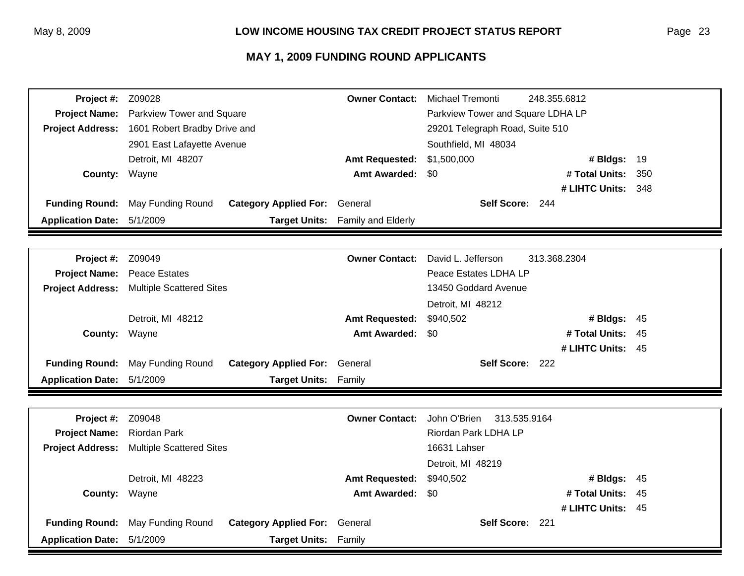| Project #:               | Z09028                          |                              | <b>Owner Contact:</b>             | Michael Tremonti                | 248.355.6812       |      |
|--------------------------|---------------------------------|------------------------------|-----------------------------------|---------------------------------|--------------------|------|
| <b>Project Name:</b>     | Parkview Tower and Square       |                              | Parkview Tower and Square LDHA LP |                                 |                    |      |
| <b>Project Address:</b>  | 1601 Robert Bradby Drive and    |                              |                                   | 29201 Telegraph Road, Suite 510 |                    |      |
|                          | 2901 East Lafayette Avenue      |                              |                                   | Southfield, MI 48034            |                    |      |
|                          | Detroit, MI 48207               |                              | <b>Amt Requested:</b>             | \$1,500,000                     | # Bldgs: 19        |      |
| <b>County:</b>           | Wayne                           |                              | <b>Amt Awarded:</b>               | \$0                             | # Total Units:     | 350  |
|                          |                                 |                              |                                   |                                 | # LIHTC Units: 348 |      |
| <b>Funding Round:</b>    | May Funding Round               | <b>Category Applied For:</b> | General                           | Self Score: 244                 |                    |      |
| <b>Application Date:</b> | 5/1/2009                        |                              | Target Units: Family and Elderly  |                                 |                    |      |
|                          |                                 |                              |                                   |                                 |                    |      |
| Project #:               | Z09049                          |                              | <b>Owner Contact:</b>             | David L. Jefferson              | 313.368.2304       |      |
| <b>Project Name:</b>     | <b>Peace Estates</b>            |                              |                                   | Peace Estates LDHA LP           |                    |      |
| <b>Project Address:</b>  | <b>Multiple Scattered Sites</b> |                              |                                   | 13450 Goddard Avenue            |                    |      |
|                          |                                 |                              |                                   | Detroit, MI 48212               |                    |      |
|                          | Detroit, MI 48212               |                              | <b>Amt Requested:</b>             | \$940,502                       | # Bldgs: $45$      |      |
| County:                  | Wayne                           |                              | <b>Amt Awarded:</b>               | \$0                             | # Total Units:     | - 45 |
|                          |                                 |                              |                                   |                                 | # LIHTC Units: 45  |      |
| <b>Funding Round:</b>    | May Funding Round               | <b>Category Applied For:</b> | General                           | Self Score: 222                 |                    |      |
| <b>Application Date:</b> | 5/1/2009                        | Target Units: Family         |                                   |                                 |                    |      |
|                          |                                 |                              |                                   |                                 |                    |      |
| Project #:               | Z09048                          |                              | <b>Owner Contact:</b>             | John O'Brien<br>313.535.9164    |                    |      |
| <b>Project Name:</b>     | <b>Riordan Park</b>             |                              |                                   | Riordan Park LDHA LP            |                    |      |
| <b>Project Address:</b>  | <b>Multiple Scattered Sites</b> |                              |                                   | 16631 Lahser                    |                    |      |
|                          |                                 |                              |                                   | Detroit, MI 48219               |                    |      |
|                          | Detroit, MI 48223               |                              | <b>Amt Requested:</b>             | \$940,502                       | # Bldgs: 45        |      |
| County:                  | Wayne                           |                              | <b>Amt Awarded:</b>               | \$0                             | # Total Units:     | 45   |
|                          |                                 |                              |                                   |                                 | # LIHTC Units: 45  |      |
| <b>Funding Round:</b>    | May Funding Round               | <b>Category Applied For:</b> | General                           | Self Score: 221                 |                    |      |
| <b>Application Date:</b> | 5/1/2009                        | <b>Target Units:</b>         | Family                            |                                 |                    |      |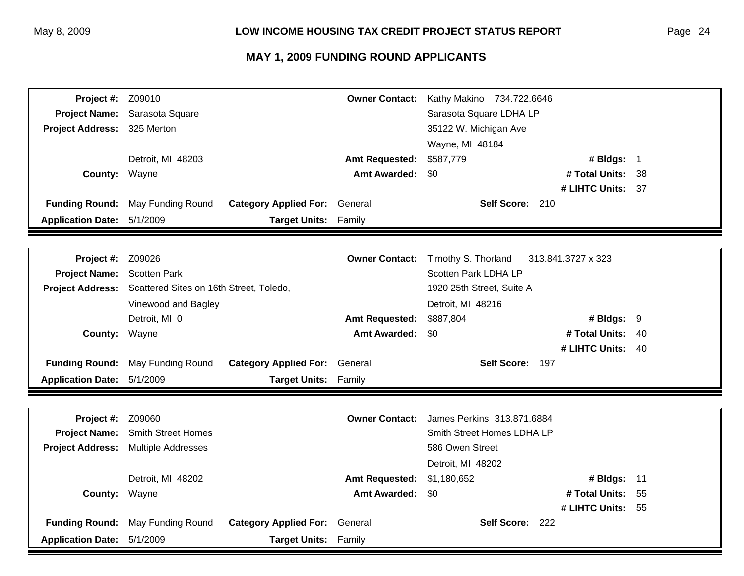| Project #:               | Z09010                                  |                                      | <b>Owner Contact:</b> | Kathy Makino 734.722.6646  |                    |      |
|--------------------------|-----------------------------------------|--------------------------------------|-----------------------|----------------------------|--------------------|------|
| <b>Project Name:</b>     | Sarasota Square                         |                                      |                       | Sarasota Square LDHA LP    |                    |      |
| <b>Project Address:</b>  | 325 Merton                              |                                      |                       | 35122 W. Michigan Ave      |                    |      |
|                          |                                         |                                      |                       | Wayne, MI 48184            |                    |      |
|                          | Detroit, MI 48203                       |                                      | <b>Amt Requested:</b> | \$587,779                  | # Bldgs: 1         |      |
| County:                  | Wayne                                   |                                      | <b>Amt Awarded:</b>   | \$0                        | # Total Units: 38  |      |
|                          |                                         |                                      |                       |                            | # LIHTC Units: 37  |      |
| <b>Funding Round:</b>    | May Funding Round                       | <b>Category Applied For:</b> General |                       | Self Score: 210            |                    |      |
| <b>Application Date:</b> | 5/1/2009                                | <b>Target Units: Family</b>          |                       |                            |                    |      |
|                          |                                         |                                      |                       |                            |                    |      |
| Project #:               | Z09026                                  |                                      | <b>Owner Contact:</b> | Timothy S. Thorland        | 313.841.3727 x 323 |      |
| <b>Project Name:</b>     | <b>Scotten Park</b>                     |                                      |                       | Scotten Park LDHA LP       |                    |      |
| <b>Project Address:</b>  | Scattered Sites on 16th Street, Toledo, |                                      |                       | 1920 25th Street, Suite A  |                    |      |
|                          | Vinewood and Bagley                     |                                      |                       | Detroit, MI 48216          |                    |      |
|                          | Detroit, MI 0                           |                                      | <b>Amt Requested:</b> | \$887,804                  | # Bldgs: 9         |      |
| County:                  | Wayne                                   |                                      | <b>Amt Awarded:</b>   | \$0                        | # Total Units:     | - 40 |
|                          |                                         |                                      |                       |                            | # LIHTC Units: 40  |      |
| <b>Funding Round:</b>    | May Funding Round                       | <b>Category Applied For:</b>         | General               | Self Score: 197            |                    |      |
| <b>Application Date:</b> | 5/1/2009                                | Target Units: Family                 |                       |                            |                    |      |
|                          |                                         |                                      |                       |                            |                    |      |
| Project #:               | Z09060                                  |                                      | <b>Owner Contact:</b> | James Perkins 313.871.6884 |                    |      |
| <b>Project Name:</b>     | <b>Smith Street Homes</b>               |                                      |                       | Smith Street Homes LDHA LP |                    |      |
| <b>Project Address:</b>  | <b>Multiple Addresses</b>               |                                      |                       | 586 Owen Street            |                    |      |
|                          |                                         |                                      |                       | Detroit, MI 48202          |                    |      |
|                          | Detroit, MI 48202                       |                                      | <b>Amt Requested:</b> | \$1,180,652                | # Bldgs: $11$      |      |
| County:                  | Wayne                                   |                                      | <b>Amt Awarded:</b>   | \$0                        | # Total Units:     | -55  |
|                          |                                         |                                      |                       |                            | # LIHTC Units: 55  |      |
| <b>Funding Round:</b>    | May Funding Round                       | <b>Category Applied For:</b>         | General               | Self Score: 222            |                    |      |
| <b>Application Date:</b> | 5/1/2009                                | <b>Target Units:</b>                 | Family                |                            |                    |      |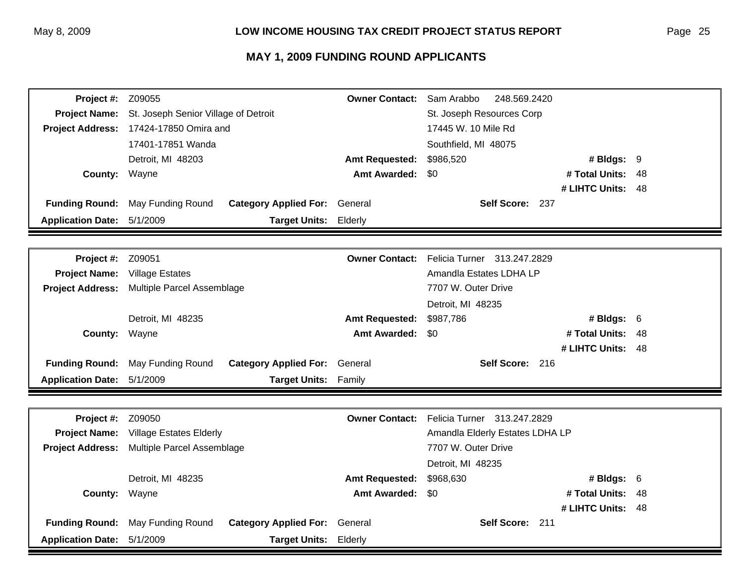| Project #:               | Z09055                                 |                                      | <b>Owner Contact:</b> | Sam Arabbo<br>248.569.2420                 |                   |      |
|--------------------------|----------------------------------------|--------------------------------------|-----------------------|--------------------------------------------|-------------------|------|
| <b>Project Name:</b>     | St. Joseph Senior Village of Detroit   |                                      |                       | St. Joseph Resources Corp                  |                   |      |
|                          | Project Address: 17424-17850 Omira and |                                      |                       | 17445 W. 10 Mile Rd                        |                   |      |
|                          | 17401-17851 Wanda                      |                                      |                       | Southfield, MI 48075                       |                   |      |
|                          | Detroit, MI 48203                      |                                      | <b>Amt Requested:</b> | \$986,520                                  | # Bldgs: 9        |      |
| County: Wayne            |                                        |                                      | <b>Amt Awarded:</b>   | \$0                                        | # Total Units:    | -48  |
|                          |                                        |                                      |                       |                                            | # LIHTC Units:    | - 48 |
| <b>Funding Round:</b>    | May Funding Round                      | <b>Category Applied For: General</b> |                       | Self Score: 237                            |                   |      |
| <b>Application Date:</b> | 5/1/2009                               | <b>Target Units:</b>                 | Elderly               |                                            |                   |      |
|                          |                                        |                                      |                       |                                            |                   |      |
| Project #:               | Z09051                                 |                                      | <b>Owner Contact:</b> | Felicia Turner 313.247.2829                |                   |      |
| <b>Project Name:</b>     | <b>Village Estates</b>                 |                                      |                       | Amandla Estates LDHA LP                    |                   |      |
| <b>Project Address:</b>  | Multiple Parcel Assemblage             |                                      |                       | 7707 W. Outer Drive                        |                   |      |
|                          |                                        |                                      |                       | Detroit, MI 48235                          |                   |      |
|                          | Detroit, MI 48235                      |                                      | <b>Amt Requested:</b> | \$987,786                                  | # Bldgs: 6        |      |
| County: Wayne            |                                        |                                      | <b>Amt Awarded:</b>   | \$0                                        | # Total Units:    | 48   |
|                          |                                        |                                      |                       |                                            | # LIHTC Units: 48 |      |
| <b>Funding Round:</b>    | May Funding Round                      | <b>Category Applied For:</b>         | General               | Self Score: 216                            |                   |      |
| <b>Application Date:</b> | 5/1/2009                               | <b>Target Units:</b>                 | Family                |                                            |                   |      |
|                          |                                        |                                      |                       |                                            |                   |      |
| Project #:               | Z09050                                 |                                      |                       | Owner Contact: Felicia Turner 313.247.2829 |                   |      |
| <b>Project Name:</b>     | <b>Village Estates Elderly</b>         |                                      |                       | Amandla Elderly Estates LDHA LP            |                   |      |
| <b>Project Address:</b>  | Multiple Parcel Assemblage             |                                      |                       | 7707 W. Outer Drive                        |                   |      |
|                          |                                        |                                      |                       | Detroit, MI 48235                          |                   |      |
|                          | Detroit, MI 48235                      |                                      | <b>Amt Requested:</b> | \$968,630                                  | # Bldgs: $6$      |      |
| <b>County: Wayne</b>     |                                        |                                      | <b>Amt Awarded:</b>   | \$0                                        | # Total Units: 48 |      |
|                          |                                        |                                      |                       |                                            | # LIHTC Units: 48 |      |
| <b>Funding Round:</b>    | May Funding Round                      | <b>Category Applied For:</b>         | General               | Self Score: 211                            |                   |      |
| <b>Application Date:</b> | 5/1/2009                               | <b>Target Units:</b>                 | Elderly               |                                            |                   |      |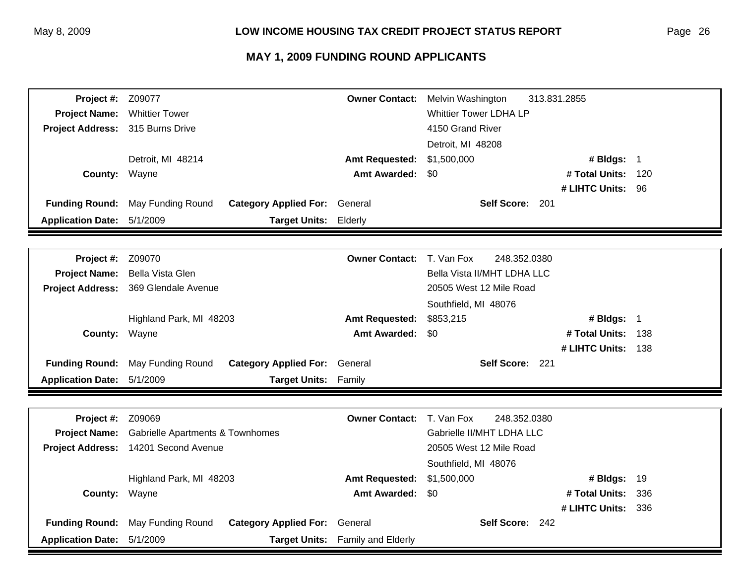| Project #:               | Z09077                                            | <b>Owner Contact:</b> | Melvin Washington             | 313.831.2855       |     |
|--------------------------|---------------------------------------------------|-----------------------|-------------------------------|--------------------|-----|
| <b>Project Name:</b>     | <b>Whittier Tower</b>                             |                       | <b>Whittier Tower LDHA LP</b> |                    |     |
| <b>Project Address:</b>  | 315 Burns Drive                                   |                       | 4150 Grand River              |                    |     |
|                          |                                                   |                       | Detroit, MI 48208             |                    |     |
|                          | Detroit, MI 48214                                 | <b>Amt Requested:</b> | \$1,500,000                   | # Bldgs: 1         |     |
| County:                  | Wayne                                             | <b>Amt Awarded:</b>   | \$0                           | # Total Units:     | 120 |
|                          |                                                   |                       |                               | # LIHTC Units: 96  |     |
| <b>Funding Round:</b>    | May Funding Round<br><b>Category Applied For:</b> | General               | Self Score: 201               |                    |     |
| <b>Application Date:</b> | 5/1/2009<br><b>Target Units:</b>                  | Elderly               |                               |                    |     |
|                          |                                                   |                       |                               |                    |     |
| Project #:               | Z09070                                            | <b>Owner Contact:</b> | T. Van Fox<br>248.352.0380    |                    |     |
| <b>Project Name:</b>     | Bella Vista Glen                                  |                       | Bella Vista II/MHT LDHA LLC   |                    |     |
| <b>Project Address:</b>  | 369 Glendale Avenue                               |                       | 20505 West 12 Mile Road       |                    |     |
|                          |                                                   |                       | Southfield, MI 48076          |                    |     |
|                          | Highland Park, MI 48203                           | <b>Amt Requested:</b> | \$853,215                     | # Bldgs: 1         |     |
| County:                  | Wayne                                             | <b>Amt Awarded:</b>   | \$0                           | # Total Units:     | 138 |
|                          |                                                   |                       |                               | # LIHTC Units:     | 138 |
| <b>Funding Round:</b>    | <b>Category Applied For:</b><br>May Funding Round | General               | Self Score: 221               |                    |     |
| <b>Application Date:</b> | 5/1/2009<br><b>Target Units:</b>                  | Family                |                               |                    |     |
|                          |                                                   |                       |                               |                    |     |
| Project #:               | Z09069                                            | <b>Owner Contact:</b> | T. Van Fox<br>248.352.0380    |                    |     |
| <b>Project Name:</b>     | <b>Gabrielle Apartments &amp; Townhomes</b>       |                       | Gabrielle II/MHT LDHA LLC     |                    |     |
| <b>Project Address:</b>  | 14201 Second Avenue                               |                       | 20505 West 12 Mile Road       |                    |     |
|                          |                                                   |                       | Southfield, MI 48076          |                    |     |
|                          | Highland Park, MI 48203                           | <b>Amt Requested:</b> | \$1,500,000                   | # Bldgs:           | 19  |
| County:                  | Wayne                                             | <b>Amt Awarded:</b>   | \$0                           | # Total Units:     | 336 |
|                          |                                                   |                       |                               | # LIHTC Units: 336 |     |
| <b>Funding Round:</b>    | May Funding Round<br><b>Category Applied For:</b> | General               | Self Score: 242               |                    |     |
| <b>Application Date:</b> | 5/1/2009<br><b>Target Units:</b>                  | Family and Elderly    |                               |                    |     |